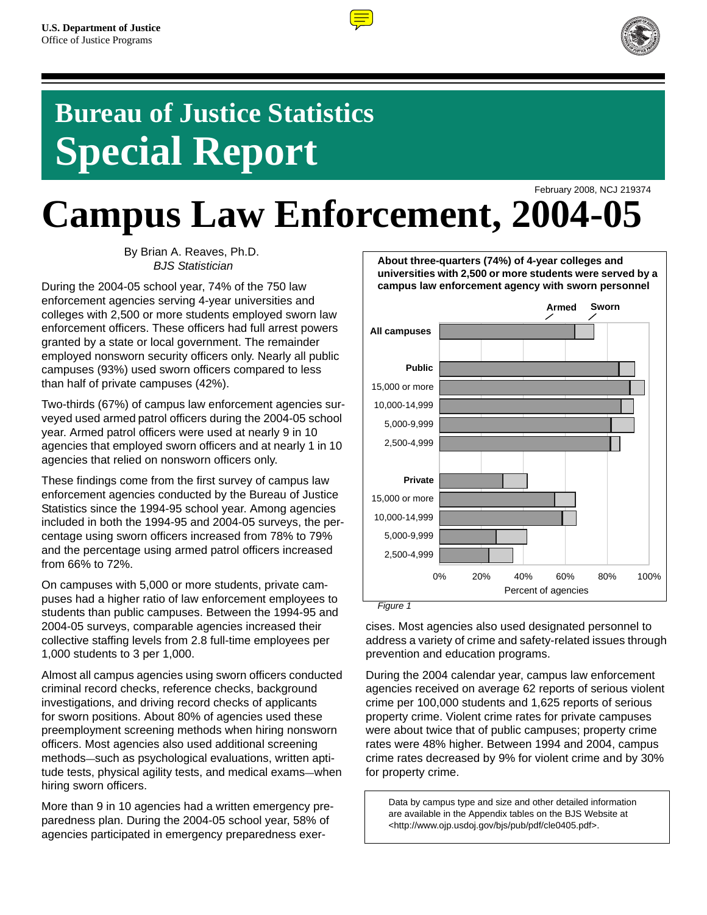

# **Bureau of Justice Statistics Special Report**

February 2008, NCJ 219374 **Campus Law Enforcement, 2004-05**

> By Brian A. Reaves, Ph.D. *BJS Statistician*

During the 2004-05 school year, 74% of the 750 law enforcement agencies serving 4-year universities and colleges with 2,500 or more students employed sworn law enforcement officers. These officers had full arrest powers granted by a state or local government. The remainder employed nonsworn security officers only. Nearly all public campuses (93%) used sworn officers compared to less than half of private campuses (42%).

Two-thirds (67%) of campus law enforcement agencies surveyed used armed patrol officers during the 2004-05 school year. Armed patrol officers were used at nearly 9 in 10 agencies that employed sworn officers and at nearly 1 in 10 agencies that relied on nonsworn officers only.

These findings come from the first survey of campus law enforcement agencies conducted by the Bureau of Justice Statistics since the 1994-95 school year. Among agencies included in both the 1994-95 and 2004-05 surveys, the percentage using sworn officers increased from 78% to 79% and the percentage using armed patrol officers increased from 66% to 72%.

On campuses with 5,000 or more students, private campuses had a higher ratio of law enforcement employees to students than public campuses. Between the 1994-95 and 2004-05 surveys, comparable agencies increased their collective staffing levels from 2.8 full-time employees per 1,000 students to 3 per 1,000.

Almost all campus agencies using sworn officers conducted criminal record checks, reference checks, background investigations, and driving record checks of applicants for sworn positions. About 80% of agencies used these preemployment screening methods when hiring nonsworn officers. Most agencies also used additional screening methods—such as psychological evaluations, written aptitude tests, physical agility tests, and medical exams—when hiring sworn officers.

More than 9 in 10 agencies had a written emergency preparedness plan. During the 2004-05 school year, 58% of agencies participated in emergency preparedness exer-



cises. Most agencies also used designated personnel to address a variety of crime and safety-related issues through prevention and education programs.

During the 2004 calendar year, campus law enforcement agencies received on average 62 reports of serious violent crime per 100,000 students and 1,625 reports of serious property crime. Violent crime rates for private campuses were about twice that of public campuses; property crime rates were 48% higher. Between 1994 and 2004, campus crime rates decreased by 9% for violent crime and by 30% for property crime.

Data by campus type and size and other detailed information are available in the Appendix tables on the BJS Website at <http://www.ojp.usdoj.gov/bjs/pub/pdf/cle0405.pdf>.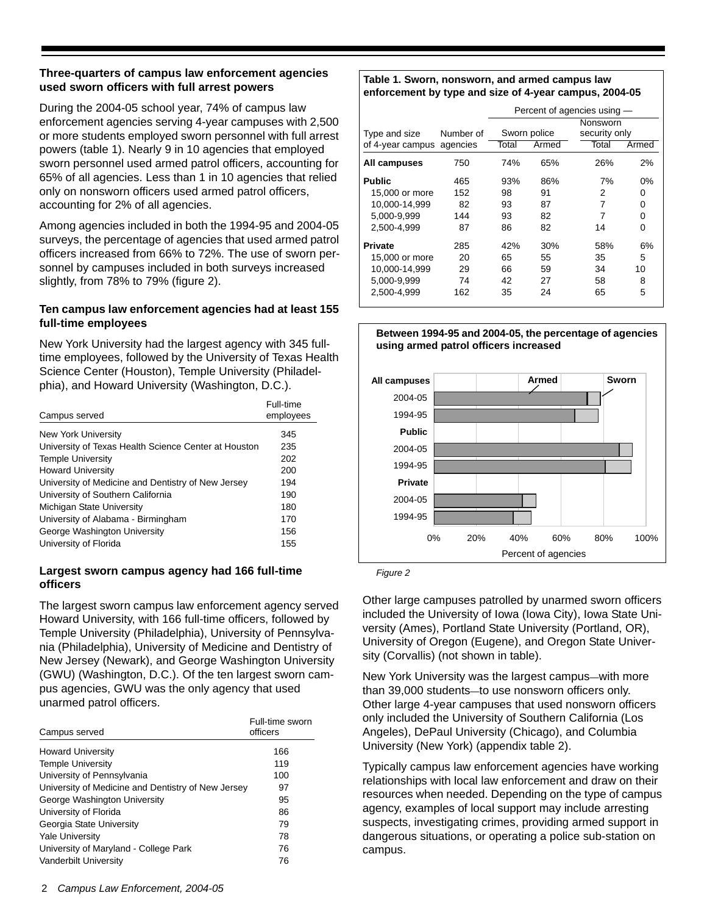# **Three-quarters of campus law enforcement agencies used sworn officers with full arrest powers**

During the 2004-05 school year, 74% of campus law enforcement agencies serving 4-year campuses with 2,500 or more students employed sworn personnel with full arrest powers (table 1). Nearly 9 in 10 agencies that employed sworn personnel used armed patrol officers, accounting for 65% of all agencies. Less than 1 in 10 agencies that relied only on nonsworn officers used armed patrol officers, accounting for 2% of all agencies.

Among agencies included in both the 1994-95 and 2004-05 surveys, the percentage of agencies that used armed patrol officers increased from 66% to 72%. The use of sworn personnel by campuses included in both surveys increased slightly, from 78% to 79% (figure 2).

## **Ten campus law enforcement agencies had at least 155 full-time employees**

New York University had the largest agency with 345 fulltime employees, followed by the University of Texas Health Science Center (Houston), Temple University (Philadelphia), and Howard University (Washington, D.C.).

| Campus served                                        | Full-time<br>employees |
|------------------------------------------------------|------------------------|
| New York University                                  | 345                    |
| University of Texas Health Science Center at Houston | 235                    |
| <b>Temple University</b>                             | 202                    |
| <b>Howard University</b>                             | 200                    |
| University of Medicine and Dentistry of New Jersey   | 194                    |
| University of Southern California                    | 190                    |
| Michigan State University                            | 180                    |
| University of Alabama - Birmingham                   | 170                    |
| George Washington University                         | 156                    |
| University of Florida                                | 155                    |

# **Largest sworn campus agency had 166 full-time officers**

The largest sworn campus law enforcement agency served Howard University, with 166 full-time officers, followed by Temple University (Philadelphia), University of Pennsylvania (Philadelphia), University of Medicine and Dentistry of New Jersey (Newark), and George Washington University (GWU) (Washington, D.C.). Of the ten largest sworn campus agencies, GWU was the only agency that used unarmed patrol officers.

| Campus served                                      | Full-time sworn<br>officers |
|----------------------------------------------------|-----------------------------|
| <b>Howard University</b>                           | 166                         |
| <b>Temple University</b>                           | 119                         |
| University of Pennsylvania                         | 100                         |
| University of Medicine and Dentistry of New Jersey | 97                          |
| George Washington University                       | 95                          |
| University of Florida                              | 86                          |
| Georgia State University                           | 79                          |
| <b>Yale University</b>                             | 78                          |
| University of Maryland - College Park              | 76                          |
| <b>Vanderbilt University</b>                       | 76                          |

#### **Table 1. Sworn, nonsworn, and armed campus law enforcement by type and size of 4-year campus, 2004-05**

|                                                                                 |                               | Percent of agencies using - |                             |                                    |                           |
|---------------------------------------------------------------------------------|-------------------------------|-----------------------------|-----------------------------|------------------------------------|---------------------------|
| Type and size<br>of 4-year campus                                               | Number of<br>agencies         | Total                       | Sworn police<br>Armed       | Nonsworn<br>security only<br>Total | Armed                     |
| All campuses                                                                    | 750                           | 74%                         | 65%                         | 26%                                | 2%                        |
| <b>Public</b><br>15,000 or more<br>10.000-14.999<br>5.000-9.999<br>2.500-4.999  | 465<br>152<br>82<br>144<br>87 | 93%<br>98<br>93<br>93<br>86 | 86%<br>91<br>87<br>82<br>82 | 7%<br>2<br>7<br>7<br>14            | $0\%$<br>0<br>0<br>0<br>0 |
| <b>Private</b><br>15,000 or more<br>10,000-14,999<br>5.000-9.999<br>2.500-4.999 | 285<br>20<br>29<br>74<br>162  | 42%<br>65<br>66<br>42<br>35 | 30%<br>55<br>59<br>27<br>24 | 58%<br>35<br>34<br>58<br>65        | 6%<br>5<br>10<br>8<br>5   |



**Between 1994-95 and 2004-05, the percentage of agencies** 

*Figure 2*

Other large campuses patrolled by unarmed sworn officers included the University of Iowa (Iowa City), Iowa State University (Ames), Portland State University (Portland, OR), University of Oregon (Eugene), and Oregon State University (Corvallis) (not shown in table).

New York University was the largest campus—with more than 39,000 students—to use nonsworn officers only. Other large 4-year campuses that used nonsworn officers only included the University of Southern California (Los Angeles), DePaul University (Chicago), and Columbia University (New York) (appendix table 2).

Typically campus law enforcement agencies have working relationships with local law enforcement and draw on their resources when needed. Depending on the type of campus agency, examples of local support may include arresting suspects, investigating crimes, providing armed support in dangerous situations, or operating a police sub-station on campus.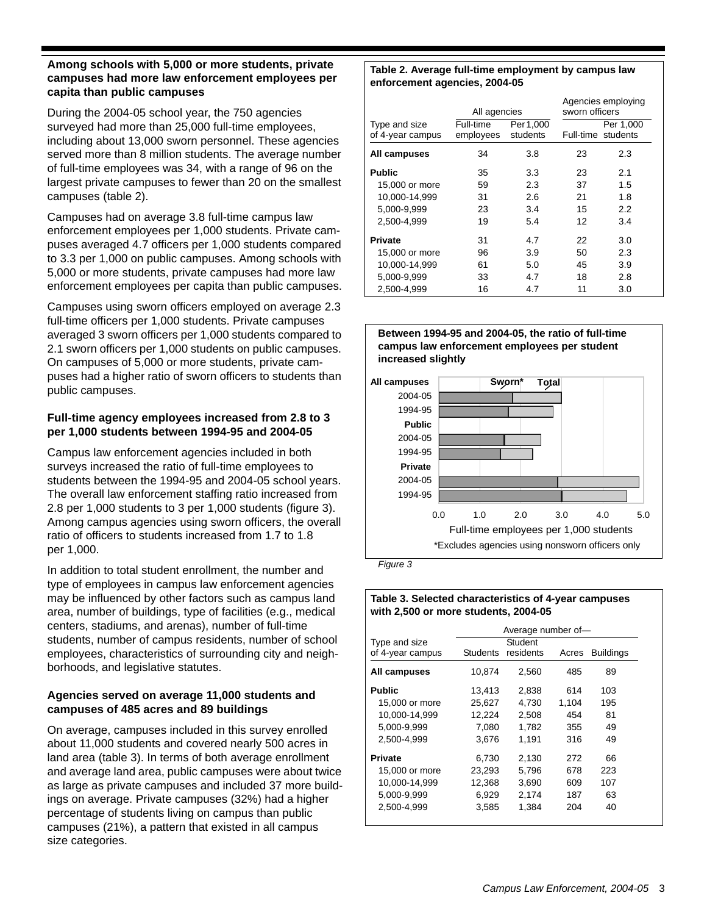## **Among schools with 5,000 or more students, private campuses had more law enforcement employees per capita than public campuses**

During the 2004-05 school year, the 750 agencies surveyed had more than 25,000 full-time employees, including about 13,000 sworn personnel. These agencies served more than 8 million students. The average number of full-time employees was 34, with a range of 96 on the largest private campuses to fewer than 20 on the smallest campuses (table 2).

Campuses had on average 3.8 full-time campus law enforcement employees per 1,000 students. Private campuses averaged 4.7 officers per 1,000 students compared to 3.3 per 1,000 on public campuses. Among schools with 5,000 or more students, private campuses had more law enforcement employees per capita than public campuses.

Campuses using sworn officers employed on average 2.3 full-time officers per 1,000 students. Private campuses averaged 3 sworn officers per 1,000 students compared to 2.1 sworn officers per 1,000 students on public campuses. On campuses of 5,000 or more students, private campuses had a higher ratio of sworn officers to students than public campuses.

# **Full-time agency employees increased from 2.8 to 3 per 1,000 students between 1994-95 and 2004-05**

Campus law enforcement agencies included in both surveys increased the ratio of full-time employees to students between the 1994-95 and 2004-05 school years. The overall law enforcement staffing ratio increased from 2.8 per 1,000 students to 3 per 1,000 students (figure 3). Among campus agencies using sworn officers, the overall ratio of officers to students increased from 1.7 to 1.8 per 1,000.

In addition to total student enrollment, the number and type of employees in campus law enforcement agencies may be influenced by other factors such as campus land area, number of buildings, type of facilities (e.g., medical centers, stadiums, and arenas), number of full-time students, number of campus residents, number of school employees, characteristics of surrounding city and neighborhoods, and legislative statutes.

# **Agencies served on average 11,000 students and campuses of 485 acres and 89 buildings**

On average, campuses included in this survey enrolled about 11,000 students and covered nearly 500 acres in land area (table 3). In terms of both average enrollment and average land area, public campuses were about twice as large as private campuses and included 37 more buildings on average. Private campuses (32%) had a higher percentage of students living on campus than public campuses (21%), a pattern that existed in all campus size categories.

#### **Table 2. Average full-time employment by campus law enforcement agencies, 2004-05**

|                                   | All agencies           |                       | sworn officers | Agencies employing              |
|-----------------------------------|------------------------|-----------------------|----------------|---------------------------------|
| Type and size<br>of 4-year campus | Full-time<br>employees | Per 1,000<br>students |                | Per 1,000<br>Full-time students |
| All campuses                      | 34                     | 3.8                   | 23             | 2.3                             |
| <b>Public</b>                     | 35                     | 3.3                   | 23             | 2.1                             |
| 15,000 or more                    | 59                     | 2.3                   | 37             | 1.5                             |
| 10.000-14.999                     | 31                     | 2.6                   | 21             | 1.8                             |
| 5,000-9,999                       | 23                     | 3.4                   | 15             | 2.2                             |
| 2.500-4.999                       | 19                     | 5.4                   | 12             | 3.4                             |
| <b>Private</b>                    | 31                     | 4.7                   | 22             | 3.0                             |
| 15,000 or more                    | 96                     | 3.9                   | 50             | 2.3                             |
| 10,000-14,999                     | 61                     | 5.0                   | 45             | 3.9                             |
| 5,000-9,999                       | 33                     | 4.7                   | 18             | 2.8                             |
| 2,500-4,999                       | 16                     | 4.7                   | 11             | 3.0                             |





*Figure 3*

## **Table 3. Selected characteristics of 4-year campuses with 2,500 or more students, 2004-05**

|                  | Average number of- |           |       |                  |
|------------------|--------------------|-----------|-------|------------------|
| Type and size    | Student            |           |       |                  |
| of 4-year campus | <b>Students</b>    | residents | Acres | <b>Buildings</b> |
| All campuses     | 10.874             | 2,560     | 485   | 89               |
| Public           | 13,413             | 2,838     | 614   | 103              |
| 15,000 or more   | 25,627             | 4.730     | 1.104 | 195              |
| 10,000-14,999    | 12,224             | 2,508     | 454   | 81               |
| 5,000-9,999      | 7,080              | 1.782     | 355   | 49               |
| 2,500-4,999      | 3.676              | 1.191     | 316   | 49               |
| Private          | 6,730              | 2,130     | 272   | 66               |
| 15,000 or more   | 23,293             | 5,796     | 678   | 223              |
| 10.000-14.999    | 12,368             | 3,690     | 609   | 107              |
| 5,000-9,999      | 6,929              | 2,174     | 187   | 63               |
| 2,500-4,999      | 3,585              | 1,384     | 204   | 40               |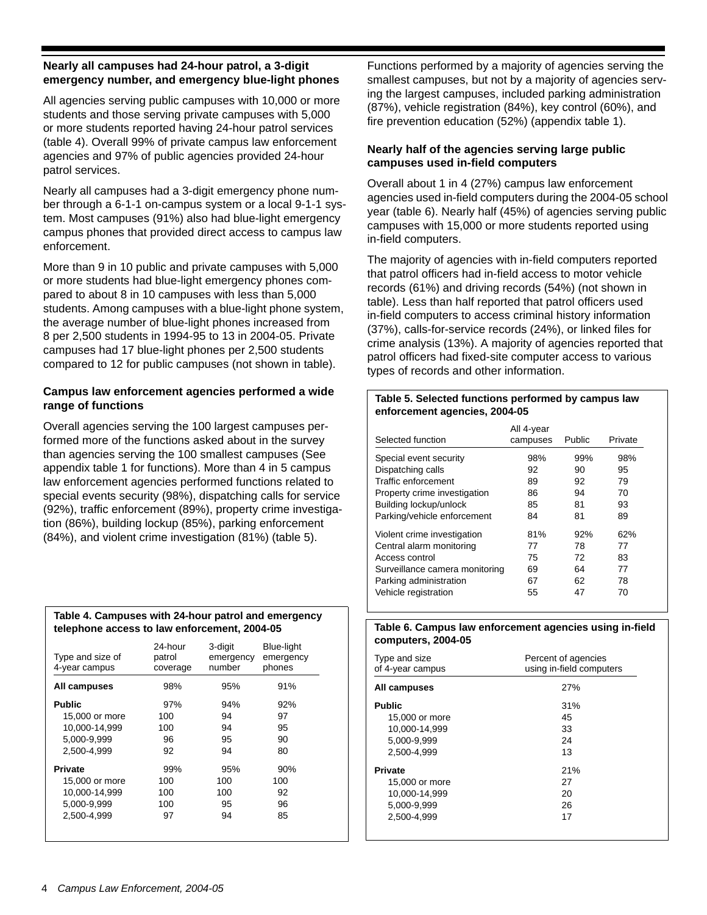## **Nearly all campuses had 24-hour patrol, a 3-digit emergency number, and emergency blue-light phones**

All agencies serving public campuses with 10,000 or more students and those serving private campuses with 5,000 or more students reported having 24-hour patrol services (table 4). Overall 99% of private campus law enforcement agencies and 97% of public agencies provided 24-hour patrol services.

Nearly all campuses had a 3-digit emergency phone number through a 6-1-1 on-campus system or a local 9-1-1 system. Most campuses (91%) also had blue-light emergency campus phones that provided direct access to campus law enforcement.

More than 9 in 10 public and private campuses with 5,000 or more students had blue-light emergency phones compared to about 8 in 10 campuses with less than 5,000 students. Among campuses with a blue-light phone system, the average number of blue-light phones increased from 8 per 2,500 students in 1994-95 to 13 in 2004-05. Private campuses had 17 blue-light phones per 2,500 students compared to 12 for public campuses (not shown in table).

# **Campus law enforcement agencies performed a wide range of functions**

Overall agencies serving the 100 largest campuses performed more of the functions asked about in the survey than agencies serving the 100 smallest campuses (See appendix table 1 for functions). More than 4 in 5 campus law enforcement agencies performed functions related to special events security (98%), dispatching calls for service (92%), traffic enforcement (89%), property crime investigation (86%), building lockup (85%), parking enforcement (84%), and violent crime investigation (81%) (table 5).

| Table 4. Campuses with 24-hour patrol and emergency |
|-----------------------------------------------------|
| telephone access to law enforcement, 2004-05        |

| Type and size of<br>4-year campus | 24-hour<br>patrol<br>coverage | 3-digit<br>emergency<br>number | Blue-light<br>emergency<br>phones |
|-----------------------------------|-------------------------------|--------------------------------|-----------------------------------|
| All campuses                      | 98%                           | 95%                            | 91%                               |
| <b>Public</b>                     | 97%                           | 94%                            | 92%                               |
| 15,000 or more                    | 100                           | 94                             | 97                                |
| 10,000-14,999                     | 100                           | 94                             | 95                                |
| 5.000-9.999                       | 96                            | 95                             | 90                                |
| 2.500-4.999                       | 92                            | 94                             | 80                                |
| <b>Private</b>                    | 99%                           | 95%                            | 90%                               |
| 15,000 or more                    | 100                           | 100                            | 100                               |
| 10.000-14.999                     | 100                           | 100                            | 92                                |
| 5.000-9.999                       | 100                           | 95                             | 96                                |
| 2.500-4.999                       | 97                            | 94                             | 85                                |

Functions performed by a majority of agencies serving the smallest campuses, but not by a majority of agencies serving the largest campuses, included parking administration (87%), vehicle registration (84%), key control (60%), and fire prevention education (52%) (appendix table 1).

## **Nearly half of the agencies serving large public campuses used in-field computers**

Overall about 1 in 4 (27%) campus law enforcement agencies used in-field computers during the 2004-05 school year (table 6). Nearly half (45%) of agencies serving public campuses with 15,000 or more students reported using in-field computers.

The majority of agencies with in-field computers reported that patrol officers had in-field access to motor vehicle records (61%) and driving records (54%) (not shown in table). Less than half reported that patrol officers used in-field computers to access criminal history information (37%), calls-for-service records (24%), or linked files for crime analysis (13%). A majority of agencies reported that patrol officers had fixed-site computer access to various types of records and other information.

#### **Table 5. Selected functions performed by campus law enforcement agencies, 2004-05**

| Selected function              | All 4-year<br>campuses | Public | Private |
|--------------------------------|------------------------|--------|---------|
| Special event security         | 98%                    | 99%    | 98%     |
| Dispatching calls              | 92                     | 90     | 95      |
| Traffic enforcement            | 89                     | 92     | 79      |
| Property crime investigation   | 86                     | 94     | 70      |
| Building lockup/unlock         | 85                     | 81     | 93      |
| Parking/vehicle enforcement    | 84                     | 81     | 89      |
| Violent crime investigation    | 81%                    | 92%    | 62%     |
| Central alarm monitoring       | 77                     | 78     | 77      |
| Access control                 | 75                     | 72     | 83      |
| Surveillance camera monitoring | 69                     | 64     | 77      |
| Parking administration         | 67                     | 62     | 78      |
| Vehicle registration           | 55                     | 47     | 70      |

#### **Table 6. Campus law enforcement agencies using in-field computers, 2004-05**

| Type and size<br>of 4-year campus | Percent of agencies<br>using in-field computers |
|-----------------------------------|-------------------------------------------------|
| All campuses                      | 27%                                             |
| <b>Public</b>                     | 31%                                             |
| 15,000 or more                    | 45                                              |
| 10.000-14.999                     | 33                                              |
| 5,000-9,999                       | 24                                              |
| 2,500-4,999                       | 13                                              |
| <b>Private</b>                    | 21%                                             |
| 15,000 or more                    | 27                                              |
| 10,000-14,999                     | 20                                              |
| 5,000-9,999                       | 26                                              |
| 2,500-4,999                       | 17                                              |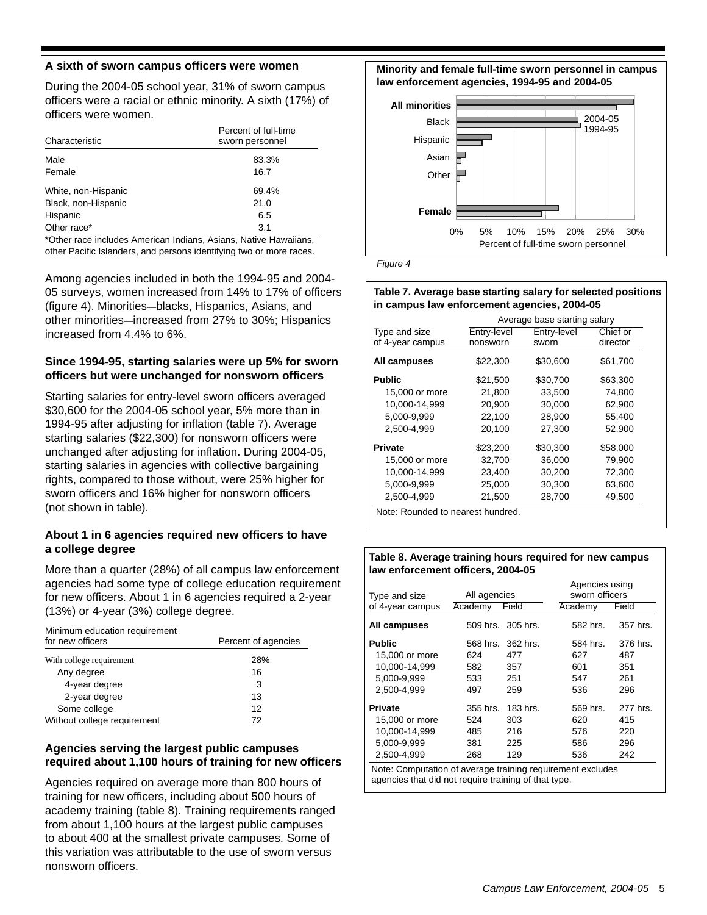#### **A sixth of sworn campus officers were women**

During the 2004-05 school year, 31% of sworn campus officers were a racial or ethnic minority. A sixth (17%) of officers were women.

| Characteristic      | Percent of full-time<br>sworn personnel |
|---------------------|-----------------------------------------|
| Male                | 83.3%                                   |
| Female              | 16.7                                    |
| White, non-Hispanic | 69.4%                                   |
| Black, non-Hispanic | 21.0                                    |
| Hispanic            | 6.5                                     |
| Other race*         | 3.1                                     |

\*Other race includes American Indians, Asians, Native Hawaiians, other Pacific Islanders, and persons identifying two or more races.

Among agencies included in both the 1994-95 and 2004- 05 surveys, women increased from 14% to 17% of officers (figure 4). Minorities—blacks, Hispanics, Asians, and other minorities—increased from 27% to 30%; Hispanics increased from 4.4% to 6%.

## **Since 1994-95, starting salaries were up 5% for sworn officers but were unchanged for nonsworn officers**

Starting salaries for entry-level sworn officers averaged \$30,600 for the 2004-05 school year, 5% more than in 1994-95 after adjusting for inflation (table 7). Average starting salaries (\$22,300) for nonsworn officers were unchanged after adjusting for inflation. During 2004-05, starting salaries in agencies with collective bargaining rights, compared to those without, were 25% higher for sworn officers and 16% higher for nonsworn officers (not shown in table).

## **About 1 in 6 agencies required new officers to have a college degree**

More than a quarter (28%) of all campus law enforcement agencies had some type of college education requirement for new officers. About 1 in 6 agencies required a 2-year (13%) or 4-year (3%) college degree.

| Minimum education requirement<br>for new officers | Percent of agencies |
|---------------------------------------------------|---------------------|
| With college requirement                          | 28%                 |
| Any degree                                        | 16                  |
| 4-year degree                                     | 3                   |
| 2-year degree                                     | 13                  |
| Some college                                      | 12                  |
| Without college requirement                       | 72                  |

# **Agencies serving the largest public campuses required about 1,100 hours of training for new officers**

Agencies required on average more than 800 hours of training for new officers, including about 500 hours of academy training (table 8). Training requirements ranged from about 1,100 hours at the largest public campuses to about 400 at the smallest private campuses. Some of this variation was attributable to the use of sworn versus nonsworn officers.

**Minority and female full-time sworn personnel in campus law enforcement agencies, 1994-95 and 2004-05** 





#### **Table 7. Average base starting salary for selected positions in campus law enforcement agencies, 2004-05**

|                  | Average base starting salary |             |          |  |
|------------------|------------------------------|-------------|----------|--|
| Type and size    | Entry-level                  | Entry-level | Chief or |  |
| of 4-year campus | nonsworn                     | sworn       | director |  |
| All campuses     | \$22,300                     | \$30,600    | \$61,700 |  |
| <b>Public</b>    | \$21,500                     | \$30,700    | \$63,300 |  |
| 15,000 or more   | 21,800                       | 33,500      | 74,800   |  |
| 10,000-14,999    | 20,900                       | 30,000      | 62,900   |  |
| 5.000-9.999      | 22,100                       | 28,900      | 55,400   |  |
| 2,500-4,999      | 20.100                       | 27,300      | 52,900   |  |
| <b>Private</b>   | \$23,200                     | \$30,300    | \$58,000 |  |
| 15,000 or more   | 32,700                       | 36,000      | 79,900   |  |
| 10,000-14,999    | 23,400                       | 30,200      | 72,300   |  |
| 5,000-9,999      | 25,000                       | 30,300      | 63,600   |  |
| 2,500-4,999      | 21,500                       | 28,700      | 49,500   |  |

Note: Rounded to nearest hundred.

#### **Table 8. Average training hours required for new campus law enforcement officers, 2004-05**

| All agencies |          | Agencies using<br>sworn officers |          |
|--------------|----------|----------------------------------|----------|
| Academy      |          | Academy                          | Field    |
|              |          | 582 hrs.                         | 357 hrs. |
| 568 hrs.     | 362 hrs. | 584 hrs.                         | 376 hrs. |
| 624          | 477      | 627                              | 487      |
| 582          | 357      | 601                              | 351      |
| 533          | 251      | 547                              | 261      |
| 497          | 259      | 536                              | 296      |
| 355 hrs.     | 183 hrs. | 569 hrs.                         | 277 hrs. |
| 524          | 303      | 620                              | 415      |
| 485          | 216      | 576                              | 220      |
| 381          | 225      | 586                              | 296      |
| 268          | 129      | 536                              | 242      |
|              |          | Field<br>509 hrs. 305 hrs.       |          |

Note: Computation of average training requirement excludes agencies that did not require training of that type.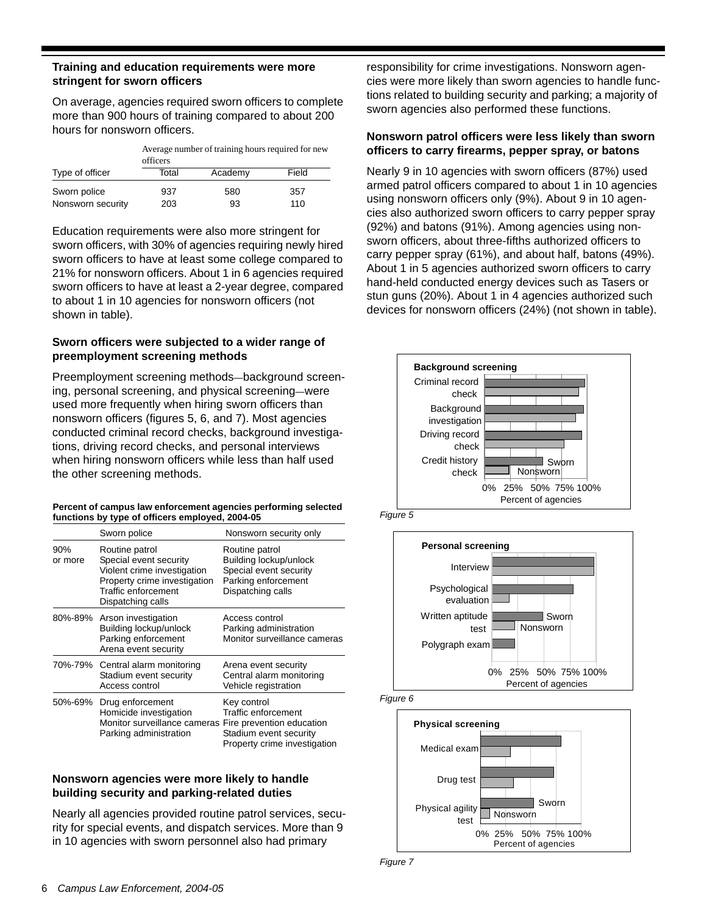## **Training and education requirements were more stringent for sworn officers**

On average, agencies required sworn officers to complete more than 900 hours of training compared to about 200 hours for nonsworn officers.

| Average number of training hours required for new |  |
|---------------------------------------------------|--|
| officers                                          |  |

| Type of officer   | Total | Academy | Field |
|-------------------|-------|---------|-------|
| Sworn police      | 937   | 580     | 357   |
| Nonsworn security | 203   | 93      | 110   |

Education requirements were also more stringent for sworn officers, with 30% of agencies requiring newly hired sworn officers to have at least some college compared to 21% for nonsworn officers. About 1 in 6 agencies required sworn officers to have at least a 2-year degree, compared to about 1 in 10 agencies for nonsworn officers (not shown in table).

# **Sworn officers were subjected to a wider range of preemployment screening methods**

Preemployment screening methods—background screening, personal screening, and physical screening—were used more frequently when hiring sworn officers than nonsworn officers (figures 5, 6, and 7). Most agencies conducted criminal record checks, background investigations, driving record checks, and personal interviews when hiring nonsworn officers while less than half used the other screening methods.

| Percent of campus law enforcement agencies performing selected |
|----------------------------------------------------------------|
| functions by type of officers employed, 2004-05                |

|                | Sworn police                                                                                                                                        | Nonsworn security only                                                                                         |
|----------------|-----------------------------------------------------------------------------------------------------------------------------------------------------|----------------------------------------------------------------------------------------------------------------|
| 90%<br>or more | Routine patrol<br>Special event security<br>Violent crime investigation<br>Property crime investigation<br>Traffic enforcement<br>Dispatching calls | Routine patrol<br>Building lockup/unlock<br>Special event security<br>Parking enforcement<br>Dispatching calls |
|                | 80%-89% Arson investigation<br>Building lockup/unlock<br>Parking enforcement<br>Arena event security                                                | Access control<br>Parking administration<br>Monitor surveillance cameras                                       |
|                | 70%-79% Central alarm monitoring<br>Stadium event security<br>Access control                                                                        | Arena event security<br>Central alarm monitoring<br>Vehicle registration                                       |
| 50%-69%        | Drug enforcement<br>Homicide investigation<br>Monitor surveillance cameras Fire prevention education<br>Parking administration                      | Key control<br><b>Traffic enforcement</b><br>Stadium event security<br>Property crime investigation            |

## **Nonsworn agencies were more likely to handle building security and parking-related duties**

Nearly all agencies provided routine patrol services, security for special events, and dispatch services. More than 9 in 10 agencies with sworn personnel also had primary

responsibility for crime investigations. Nonsworn agencies were more likely than sworn agencies to handle functions related to building security and parking; a majority of sworn agencies also performed these functions.

## **Nonsworn patrol officers were less likely than sworn officers to carry firearms, pepper spray, or batons**

Nearly 9 in 10 agencies with sworn officers (87%) used armed patrol officers compared to about 1 in 10 agencies using nonsworn officers only (9%). About 9 in 10 agencies also authorized sworn officers to carry pepper spray (92%) and batons (91%). Among agencies using nonsworn officers, about three-fifths authorized officers to carry pepper spray (61%), and about half, batons (49%). About 1 in 5 agencies authorized sworn officers to carry hand-held conducted energy devices such as Tasers or stun guns (20%). About 1 in 4 agencies authorized such devices for nonsworn officers (24%) (not shown in table).



*Figure 5*







*Figure 7*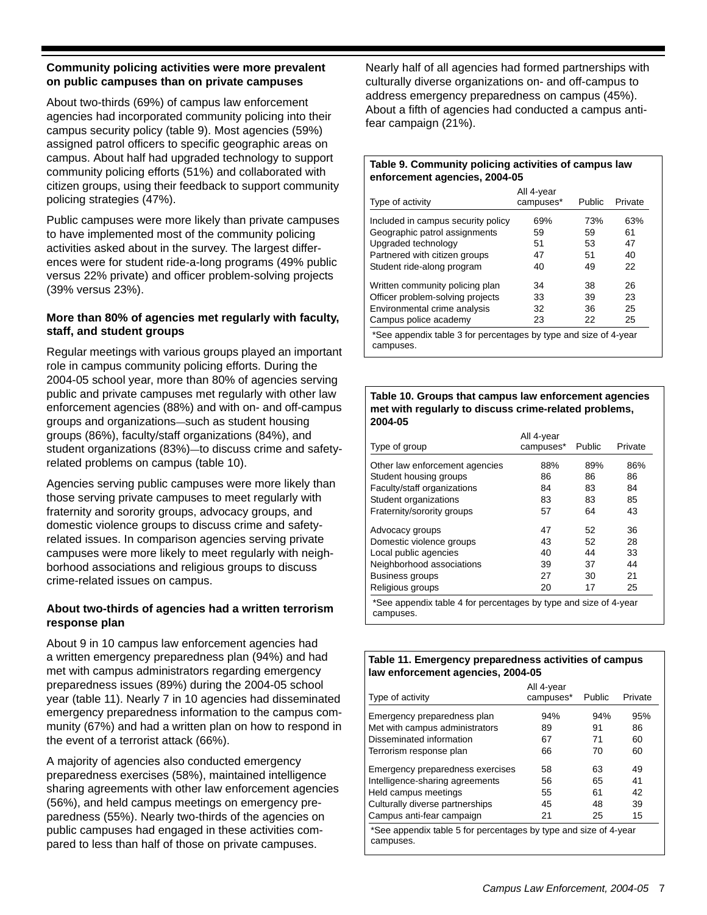## **Community policing activities were more prevalent on public campuses than on private campuses**

About two-thirds (69%) of campus law enforcement agencies had incorporated community policing into their campus security policy (table 9). Most agencies (59%) assigned patrol officers to specific geographic areas on campus. About half had upgraded technology to support community policing efforts (51%) and collaborated with citizen groups, using their feedback to support community policing strategies (47%).

Public campuses were more likely than private campuses to have implemented most of the community policing activities asked about in the survey. The largest differences were for student ride-a-long programs (49% public versus 22% private) and officer problem-solving projects (39% versus 23%).

# **More than 80% of agencies met regularly with faculty, staff, and student groups**

Regular meetings with various groups played an important role in campus community policing efforts. During the 2004-05 school year, more than 80% of agencies serving public and private campuses met regularly with other law enforcement agencies (88%) and with on- and off-campus groups and organizations—such as student housing groups (86%), faculty/staff organizations (84%), and student organizations (83%)—to discuss crime and safetyrelated problems on campus (table 10).

Agencies serving public campuses were more likely than those serving private campuses to meet regularly with fraternity and sorority groups, advocacy groups, and domestic violence groups to discuss crime and safetyrelated issues. In comparison agencies serving private campuses were more likely to meet regularly with neighborhood associations and religious groups to discuss crime-related issues on campus.

# **About two-thirds of agencies had a written terrorism response plan**

About 9 in 10 campus law enforcement agencies had a written emergency preparedness plan (94%) and had met with campus administrators regarding emergency preparedness issues (89%) during the 2004-05 school year (table 11). Nearly 7 in 10 agencies had disseminated emergency preparedness information to the campus community (67%) and had a written plan on how to respond in the event of a terrorist attack (66%).

A majority of agencies also conducted emergency preparedness exercises (58%), maintained intelligence sharing agreements with other law enforcement agencies (56%), and held campus meetings on emergency preparedness (55%). Nearly two-thirds of the agencies on public campuses had engaged in these activities compared to less than half of those on private campuses.

Nearly half of all agencies had formed partnerships with culturally diverse organizations on- and off-campus to address emergency preparedness on campus (45%). About a fifth of agencies had conducted a campus antifear campaign (21%).

#### **Table 9. Community policing activities of campus law enforcement agencies, 2004-05**

| Type of activity                                                              | All 4-year<br>campuses* | Public | Private |
|-------------------------------------------------------------------------------|-------------------------|--------|---------|
| Included in campus security policy                                            | 69%                     | 73%    | 63%     |
| Geographic patrol assignments                                                 | 59                      | 59     | 61      |
| Upgraded technology                                                           | 51                      | 53     | 47      |
| Partnered with citizen groups                                                 | 47                      | 51     | 40      |
| Student ride-along program                                                    | 40                      | 49     | 22      |
| Written community policing plan                                               | 34                      | 38     | 26      |
| Officer problem-solving projects                                              | 33                      | 39     | 23      |
| Environmental crime analysis                                                  | 32                      | 36     | 25      |
| Campus police academy                                                         | 23                      | 22     | 25      |
| *See appendix table 3 for percentages by type and size of 4-year<br>campuses. |                         |        |         |

#### **Table 10. Groups that campus law enforcement agencies met with regularly to discuss crime-related problems, 2004-05**

| campuses* | Public | Private |
|-----------|--------|---------|
| 88%       | 89%    | 86%     |
| 86        | 86     | 86      |
| 84        | 83     | 84      |
| 83        | 83     | 85      |
| 57        | 64     | 43      |
| 47        | 52     | 36      |
| 43        | 52     | 28      |
| 40        | 44     | 33      |
| 39        | 37     | 44      |
| 27        | 30     | 21      |
| 20        | 17     | 25      |
|           |        |         |

#### **Table 11. Emergency preparedness activities of campus law enforcement agencies, 2004-05**

| Type of activity                                                                                                                                            | All 4-year<br>campuses*    | Public                     | Private                    |
|-------------------------------------------------------------------------------------------------------------------------------------------------------------|----------------------------|----------------------------|----------------------------|
| Emergency preparedness plan                                                                                                                                 | 94%                        | 94%                        | 95%                        |
| Met with campus administrators                                                                                                                              | 89                         | 91                         | 86                         |
| Disseminated information                                                                                                                                    | 67                         | 71                         | 60                         |
| Terrorism response plan                                                                                                                                     | 66                         | 70                         | 60                         |
| Emergency preparedness exercises<br>Intelligence-sharing agreements<br>Held campus meetings<br>Culturally diverse partnerships<br>Campus anti-fear campaign | 58<br>56<br>55<br>45<br>21 | 63<br>65<br>61<br>48<br>25 | 49<br>41<br>42<br>39<br>15 |
| *See appendix table 5 for percentages by type and size of 4-year<br>campuses.                                                                               |                            |                            |                            |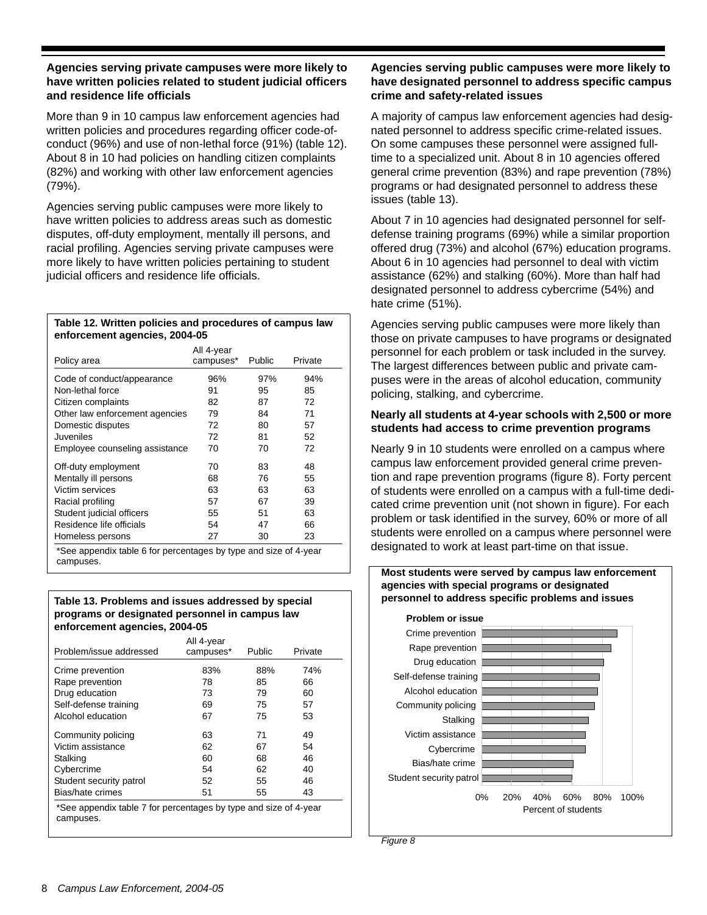## **Agencies serving private campuses were more likely to have written policies related to student judicial officers and residence life officials**

More than 9 in 10 campus law enforcement agencies had written policies and procedures regarding officer code-ofconduct (96%) and use of non-lethal force (91%) (table 12). About 8 in 10 had policies on handling citizen complaints (82%) and working with other law enforcement agencies (79%).

Agencies serving public campuses were more likely to have written policies to address areas such as domestic disputes, off-duty employment, mentally ill persons, and racial profiling. Agencies serving private campuses were more likely to have written policies pertaining to student judicial officers and residence life officials.

#### **Table 12. Written policies and procedures of campus law enforcement agencies, 2004-05**

| Policy area                    | All 4-year<br>campuses* | Public | Private |
|--------------------------------|-------------------------|--------|---------|
| Code of conduct/appearance     | 96%                     | 97%    | 94%     |
| Non-lethal force               | 91                      | 95     | 85      |
| Citizen complaints             | 82                      | 87     | 72      |
| Other law enforcement agencies | 79                      | 84     | 71      |
| Domestic disputes              | 72                      | 80     | 57      |
| Juveniles                      | 72                      | 81     | 52      |
| Employee counseling assistance | 70                      | 70     | 72      |
| Off-duty employment            | 70                      | 83     | 48      |
| Mentally ill persons           | 68                      | 76     | 55      |
| Victim services                | 63                      | 63     | 63      |
| Racial profiling               | 57                      | 67     | 39      |
| Student judicial officers      | 55                      | 51     | 63      |
| Residence life officials       | 54                      | 47     | 66      |
| Homeless persons               | 27                      | 30     | 23      |
|                                |                         |        |         |

\*See appendix table 6 for percentages by type and size of 4-year campuses.

## **Table 13. Problems and issues addressed by special programs or designated personnel in campus law enforcement agencies, 2004-05**

| Problem/issue addressed                                                       | All 4-year<br>campuses* | Public | Private |  |
|-------------------------------------------------------------------------------|-------------------------|--------|---------|--|
| Crime prevention                                                              | 83%                     | 88%    | 74%     |  |
| Rape prevention                                                               | 78                      | 85     | 66      |  |
| Drug education                                                                | 73                      | 79     | 60      |  |
| Self-defense training                                                         | 69                      | 75     | 57      |  |
| Alcohol education                                                             | 67                      | 75     | 53      |  |
| Community policing                                                            | 63                      | 71     | 49      |  |
| Victim assistance                                                             | 62                      | 67     | 54      |  |
| Stalking                                                                      | 60                      | 68     | 46      |  |
| Cybercrime                                                                    | 54                      | 62     | 40      |  |
| Student security patrol                                                       | 52                      | 55     | 46      |  |
| Bias/hate crimes                                                              | 51                      | 55     | 43      |  |
| *See appendix table 7 for percentages by type and size of 4-year<br>campuses. |                         |        |         |  |

# **Agencies serving public campuses were more likely to have designated personnel to address specific campus crime and safety-related issues**

A majority of campus law enforcement agencies had designated personnel to address specific crime-related issues. On some campuses these personnel were assigned fulltime to a specialized unit. About 8 in 10 agencies offered general crime prevention (83%) and rape prevention (78%) programs or had designated personnel to address these issues (table 13).

About 7 in 10 agencies had designated personnel for selfdefense training programs (69%) while a similar proportion offered drug (73%) and alcohol (67%) education programs. About 6 in 10 agencies had personnel to deal with victim assistance (62%) and stalking (60%). More than half had designated personnel to address cybercrime (54%) and hate crime (51%).

Agencies serving public campuses were more likely than those on private campuses to have programs or designated personnel for each problem or task included in the survey. The largest differences between public and private campuses were in the areas of alcohol education, community policing, stalking, and cybercrime.

## **Nearly all students at 4-year schools with 2,500 or more students had access to crime prevention programs**

Nearly 9 in 10 students were enrolled on a campus where campus law enforcement provided general crime prevention and rape prevention programs (figure 8). Forty percent of students were enrolled on a campus with a full-time dedicated crime prevention unit (not shown in figure). For each problem or task identified in the survey, 60% or more of all students were enrolled on a campus where personnel were designated to work at least part-time on that issue.

**Most students were served by campus law enforcement** 



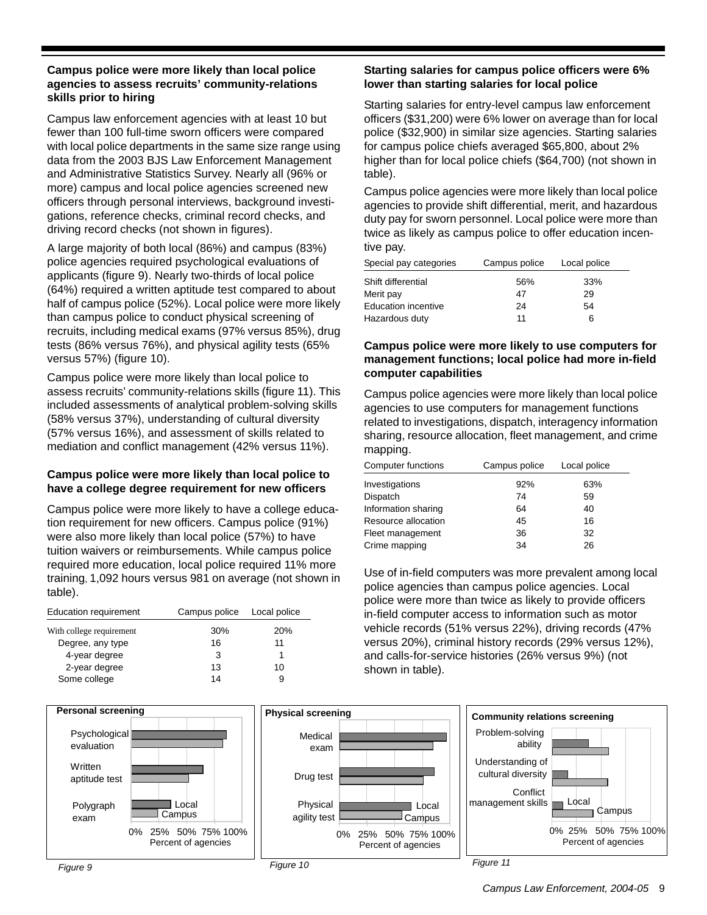## **Campus police were more likely than local police agencies to assess recruits' community-relations skills prior to hiring**

Campus law enforcement agencies with at least 10 but fewer than 100 full-time sworn officers were compared with local police departments in the same size range using data from the 2003 BJS Law Enforcement Management and Administrative Statistics Survey. Nearly all (96% or more) campus and local police agencies screened new officers through personal interviews, background investigations, reference checks, criminal record checks, and driving record checks (not shown in figures).

A large majority of both local (86%) and campus (83%) police agencies required psychological evaluations of applicants (figure 9). Nearly two-thirds of local police (64%) required a written aptitude test compared to about half of campus police (52%). Local police were more likely than campus police to conduct physical screening of recruits, including medical exams (97% versus 85%), drug tests (86% versus 76%), and physical agility tests (65% versus 57%) (figure 10).

Campus police were more likely than local police to assess recruits' community-relations skills (figure 11). This included assessments of analytical problem-solving skills (58% versus 37%), understanding of cultural diversity (57% versus 16%), and assessment of skills related to mediation and conflict management (42% versus 11%).

## **Campus police were more likely than local police to have a college degree requirement for new officers**

Campus police were more likely to have a college education requirement for new officers. Campus police (91%) were also more likely than local police (57%) to have tuition waivers or reimbursements. While campus police required more education, local police required 11% more training, 1,092 hours versus 981 on average (not shown in table).

| <b>Education requirement</b> | Campus police |     |
|------------------------------|---------------|-----|
| With college requirement     | 30%           | 20% |
| Degree, any type             | 16            | 11  |
| 4-year degree                | 3             |     |
| 2-year degree                | 13            | 10  |
| Some college                 | 14            | 9   |





# **Starting salaries for campus police officers were 6% lower than starting salaries for local police**

Starting salaries for entry-level campus law enforcement officers (\$31,200) were 6% lower on average than for local police (\$32,900) in similar size agencies. Starting salaries for campus police chiefs averaged \$65,800, about 2% higher than for local police chiefs (\$64,700) (not shown in table).

Campus police agencies were more likely than local police agencies to provide shift differential, merit, and hazardous duty pay for sworn personnel. Local police were more than twice as likely as campus police to offer education incentive pay.

| Special pay categories     | Campus police | Local police |  |
|----------------------------|---------------|--------------|--|
| Shift differential         | 56%           | 33%          |  |
| Merit pay                  | 47            | 29           |  |
| <b>Education incentive</b> | 24            | 54           |  |
| Hazardous duty             | 11            | 6            |  |

# **Campus police were more likely to use computers for management functions; local police had more in-field computer capabilities**

Campus police agencies were more likely than local police agencies to use computers for management functions related to investigations, dispatch, interagency information sharing, resource allocation, fleet management, and crime mapping.

| Computer functions  | Campus police | Local police |
|---------------------|---------------|--------------|
| Investigations      | 92%           | 63%          |
| Dispatch            | 74            | 59           |
| Information sharing | 64            | 40           |
| Resource allocation | 45            | 16           |
| Fleet management    | 36            | 32           |
| Crime mapping       | 34            | 26           |

Use of in-field computers was more prevalent among local police agencies than campus police agencies. Local police were more than twice as likely to provide officers in-field computer access to information such as motor vehicle records (51% versus 22%), driving records (47% versus 20%), criminal history records (29% versus 12%), and calls-for-service histories (26% versus 9%) (not shown in table).



*Figure 9*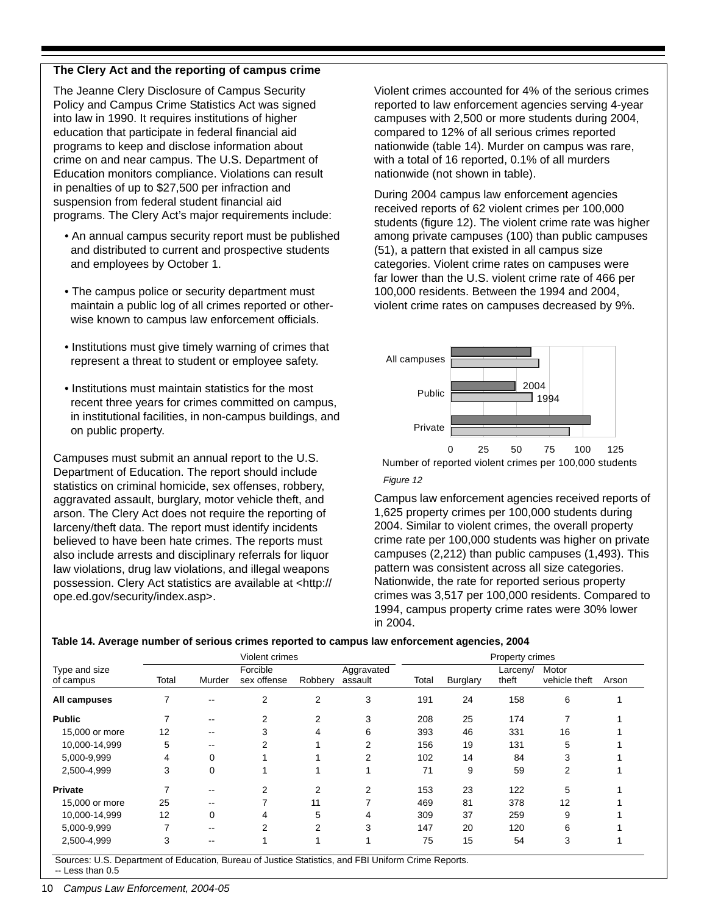# **The Clery Act and the reporting of campus crime**

The Jeanne Clery Disclosure of Campus Security Policy and Campus Crime Statistics Act was signed into law in 1990. It requires institutions of higher education that participate in federal financial aid programs to keep and disclose information about crime on and near campus. The U.S. Department of Education monitors compliance. Violations can result in penalties of up to \$27,500 per infraction and suspension from federal student financial aid programs. The Clery Act's major requirements include:

- An annual campus security report must be published and distributed to current and prospective students and employees by October 1.
- The campus police or security department must maintain a public log of all crimes reported or otherwise known to campus law enforcement officials.
- Institutions must give timely warning of crimes that represent a threat to student or employee safety.
- Institutions must maintain statistics for the most recent three years for crimes committed on campus, in institutional facilities, in non-campus buildings, and on public property.

Campuses must submit an annual report to the U.S. Department of Education. The report should include statistics on criminal homicide, sex offenses, robbery, aggravated assault, burglary, motor vehicle theft, and arson. The Clery Act does not require the reporting of larceny/theft data. The report must identify incidents believed to have been hate crimes. The reports must also include arrests and disciplinary referrals for liquor law violations, drug law violations, and illegal weapons possession. Clery Act statistics are available at <http:// ope.ed.gov/security/index.asp>.

Violent crimes accounted for 4% of the serious crimes reported to law enforcement agencies serving 4-year campuses with 2,500 or more students during 2004, compared to 12% of all serious crimes reported nationwide (table 14). Murder on campus was rare, with a total of 16 reported, 0.1% of all murders nationwide (not shown in table).

During 2004 campus law enforcement agencies received reports of 62 violent crimes per 100,000 students (figure 12). The violent crime rate was higher among private campuses (100) than public campuses (51), a pattern that existed in all campus size categories. Violent crime rates on campuses were far lower than the U.S. violent crime rate of 466 per 100,000 residents. Between the 1994 and 2004, violent crime rates on campuses decreased by 9%.



Number of reported violent crimes per 100,000 students

#### *Figure 12*

Campus law enforcement agencies received reports of 1,625 property crimes per 100,000 students during 2004. Similar to violent crimes, the overall property crime rate per 100,000 students was higher on private campuses (2,212) than public campuses (1,493). This pattern was consistent across all size categories. Nationwide, the rate for reported serious property crimes was 3,517 per 100,000 residents. Compared to 1994, campus property crime rates were 30% lower in 2004.

#### **Table 14. Average number of serious crimes reported to campus law enforcement agencies, 2004**

|                            |       |                          | Violent crimes          |         |                       |       |                 | Property crimes   |                        |       |
|----------------------------|-------|--------------------------|-------------------------|---------|-----------------------|-------|-----------------|-------------------|------------------------|-------|
| Type and size<br>of campus | Total | Murder                   | Forcible<br>sex offense | Robbery | Aggravated<br>assault | Total | <b>Burglary</b> | Larceny/<br>theft | Motor<br>vehicle theft | Arson |
| All campuses               |       | --                       | 2                       | 2       | 3                     | 191   | 24              | 158               | 6                      |       |
| <b>Public</b>              |       | --                       | 2                       | 2       | 3                     | 208   | 25              | 174               |                        |       |
| 15,000 or more             | 12    | --                       | 3                       | 4       | 6                     | 393   | 46              | 331               | 16                     |       |
| 10,000-14,999              | 5     | $\overline{\phantom{m}}$ | 2                       |         | 2                     | 156   | 19              | 131               | 5                      |       |
| 5,000-9,999                | 4     | 0                        |                         |         | 2                     | 102   | 14              | 84                | 3                      |       |
| 2,500-4,999                | 3     | 0                        |                         |         |                       | 71    | 9               | 59                | 2                      |       |
| <b>Private</b>             | 7     | --                       | 2                       | 2       | 2                     | 153   | 23              | 122               | 5                      |       |
| 15,000 or more             | 25    | --                       |                         | 11      |                       | 469   | 81              | 378               | 12                     |       |
| 10,000-14,999              | 12    | 0                        | 4                       | 5       | 4                     | 309   | 37              | 259               | 9                      |       |
| 5,000-9,999                | ⇁     | --                       | 2                       | 2       | 3                     | 147   | 20              | 120               | 6                      |       |
| 2,500-4,999                | 3     | $\overline{\phantom{m}}$ |                         |         |                       | 75    | 15              | 54                | 3                      |       |

Sources: U.S. Department of Education, Bureau of Justice Statistics, and FBI Uniform Crime Reports.

-- Less than 0.5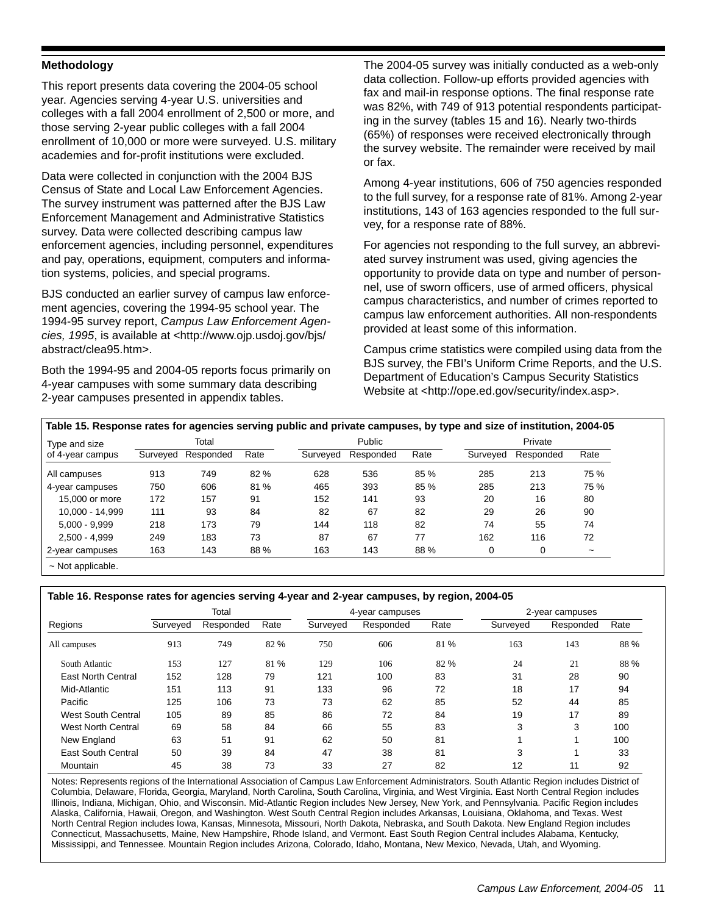## **Methodology**

This report presents data covering the 2004-05 school year. Agencies serving 4-year U.S. universities and colleges with a fall 2004 enrollment of 2,500 or more, and those serving 2-year public colleges with a fall 2004 enrollment of 10,000 or more were surveyed. U.S. military academies and for-profit institutions were excluded.

Data were collected in conjunction with the 2004 BJS Census of State and Local Law Enforcement Agencies. The survey instrument was patterned after the BJS Law Enforcement Management and Administrative Statistics survey. Data were collected describing campus law enforcement agencies, including personnel, expenditures and pay, operations, equipment, computers and information systems, policies, and special programs.

BJS conducted an earlier survey of campus law enforcement agencies, covering the 1994-95 school year. The 1994-95 survey report, *Campus Law Enforcement Agencies, 1995*, is available at <http://www.ojp.usdoj.gov/bjs/ abstract/clea95.htm>.

Both the 1994-95 and 2004-05 reports focus primarily on 4-year campuses with some summary data describing 2-year campuses presented in appendix tables.

The 2004-05 survey was initially conducted as a web-only data collection. Follow-up efforts provided agencies with fax and mail-in response options. The final response rate was 82%, with 749 of 913 potential respondents participating in the survey (tables 15 and 16). Nearly two-thirds (65%) of responses were received electronically through the survey website. The remainder were received by mail or fax.

Among 4-year institutions, 606 of 750 agencies responded to the full survey, for a response rate of 81%. Among 2-year institutions, 143 of 163 agencies responded to the full survey, for a response rate of 88%.

For agencies not responding to the full survey, an abbreviated survey instrument was used, giving agencies the opportunity to provide data on type and number of personnel, use of sworn officers, use of armed officers, physical campus characteristics, and number of crimes reported to campus law enforcement authorities. All non-respondents provided at least some of this information.

Campus crime statistics were compiled using data from the BJS survey, the FBI's Uniform Crime Reports, and the U.S. Department of Education's Campus Security Statistics Website at <http://ope.ed.gov/security/index.asp>.

| Table 15. Response rates for agencies serving public and private campuses, by type and size of institution, 2004-05 ' |  |  |  |  |  |
|-----------------------------------------------------------------------------------------------------------------------|--|--|--|--|--|
|-----------------------------------------------------------------------------------------------------------------------|--|--|--|--|--|

| Type and size    |          | Total     |      |          | Public    |      |          | Private   |                       |  |  |
|------------------|----------|-----------|------|----------|-----------|------|----------|-----------|-----------------------|--|--|
| of 4-year campus | Surveyed | Responded | Rate | Surveyed | Responded | Rate | Surveyed | Responded | Rate                  |  |  |
| All campuses     | 913      | 749       | 82%  | 628      | 536       | 85 % | 285      | 213       | 75%                   |  |  |
| 4-year campuses  | 750      | 606       | 81 % | 465      | 393       | 85%  | 285      | 213       | 75%                   |  |  |
| 15,000 or more   | 172      | 157       | 91   | 152      | 141       | 93   | 20       | 16        | 80                    |  |  |
| 10.000 - 14.999  | 111      | 93        | 84   | 82       | 67        | 82   | 29       | 26        | 90                    |  |  |
| $5.000 - 9.999$  | 218      | 173       | 79   | 144      | 118       | 82   | 74       | 55        | 74                    |  |  |
| $2.500 - 4.999$  | 249      | 183       | 73   | 87       | 67        | 77   | 162      | 116       | 72                    |  |  |
| 2-year campuses  | 163      | 143       | 88 % | 163      | 143       | 88%  | 0        | 0         | $\tilde{\phantom{a}}$ |  |  |

**Table 16. Response rates for agencies serving 4-year and 2-year campuses, by region, 2004-05**

|                           |          | Total     |      |          | 4-year campuses |      |          | 2-year campuses |      |
|---------------------------|----------|-----------|------|----------|-----------------|------|----------|-----------------|------|
| Regions                   | Surveyed | Responded | Rate | Surveyed | Responded       | Rate | Surveyed | Responded       | Rate |
| All campuses              | 913      | 749       | 82 % | 750      | 606             | 81 % | 163      | 143             | 88 % |
| South Atlantic            | 153      | 127       | 81 % | 129      | 106             | 82 % | 24       | 21              | 88 % |
| <b>East North Central</b> | 152      | 128       | 79   | 121      | 100             | 83   | 31       | 28              | 90   |
| Mid-Atlantic              | 151      | 113       | 91   | 133      | 96              | 72   | 18       | 17              | 94   |
| Pacific                   | 125      | 106       | 73   | 73       | 62              | 85   | 52       | 44              | 85   |
| <b>West South Central</b> | 105      | 89        | 85   | 86       | 72              | 84   | 19       | 17              | 89   |
| West North Central        | 69       | 58        | 84   | 66       | 55              | 83   | 3        | 3               | 100  |
| New England               | 63       | 51        | 91   | 62       | 50              | 81   |          |                 | 100  |
| <b>East South Central</b> | 50       | 39        | 84   | 47       | 38              | 81   | 3        |                 | 33   |
| Mountain                  | 45       | 38        | 73   | 33       | 27              | 82   | 12       | 11              | 92   |

Notes: Represents regions of the International Association of Campus Law Enforcement Administrators. South Atlantic Region includes District of Columbia, Delaware, Florida, Georgia, Maryland, North Carolina, South Carolina, Virginia, and West Virginia. East North Central Region includes Illinois, Indiana, Michigan, Ohio, and Wisconsin. Mid-Atlantic Region includes New Jersey, New York, and Pennsylvania. Pacific Region includes Alaska, California, Hawaii, Oregon, and Washington. West South Central Region includes Arkansas, Louisiana, Oklahoma, and Texas. West North Central Region includes Iowa, Kansas, Minnesota, Missouri, North Dakota, Nebraska, and South Dakota. New England Region includes Connecticut, Massachusetts, Maine, New Hampshire, Rhode Island, and Vermont. East South Region Central includes Alabama, Kentucky, Mississippi, and Tennessee. Mountain Region includes Arizona, Colorado, Idaho, Montana, New Mexico, Nevada, Utah, and Wyoming.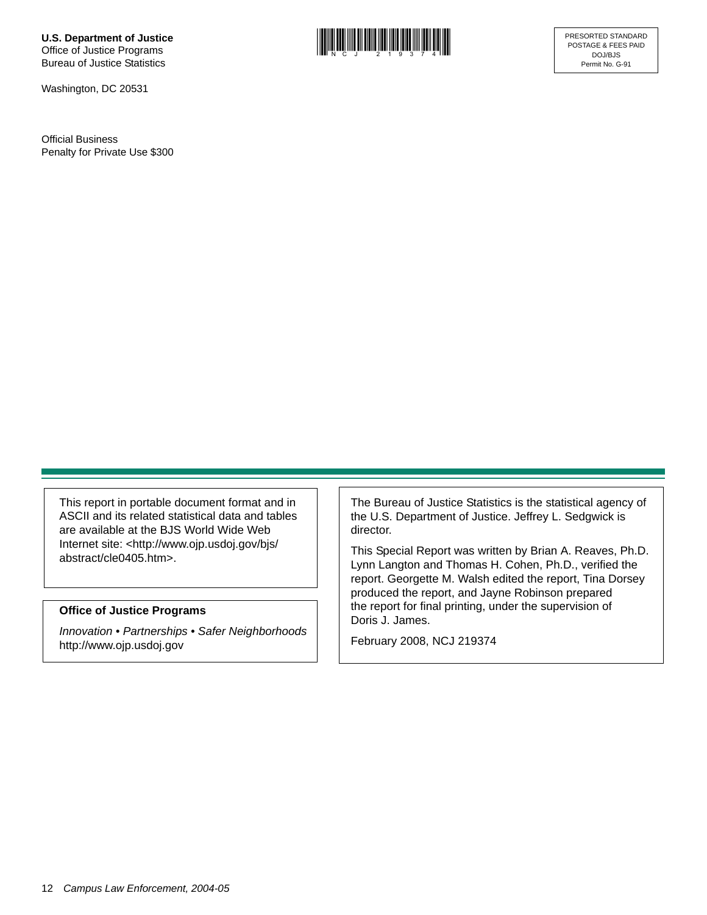**U.S. Department of Justice** Office of Justice Programs Bureau of Justice Statistics

Washington, DC 20531

Official Business Penalty for Private Use \$300



This report in portable document format and in ASCII and its related statistical data and tables are available at the BJS World Wide Web Internet site: <http://www.ojp.usdoj.gov/bjs/ abstract/cle0405.htm>.

#### **Office of Justice Programs**

*Innovation • Partnerships • Safer Neighborhoods* http://www.ojp.usdoj.gov

The Bureau of Justice Statistics is the statistical agency of the U.S. Department of Justice. Jeffrey L. Sedgwick is director.

This Special Report was written by Brian A. Reaves, Ph.D. Lynn Langton and Thomas H. Cohen, Ph.D., verified the report. Georgette M. Walsh edited the report, Tina Dorsey produced the report, and Jayne Robinson prepared the report for final printing, under the supervision of Doris J. James.

February 2008, NCJ 219374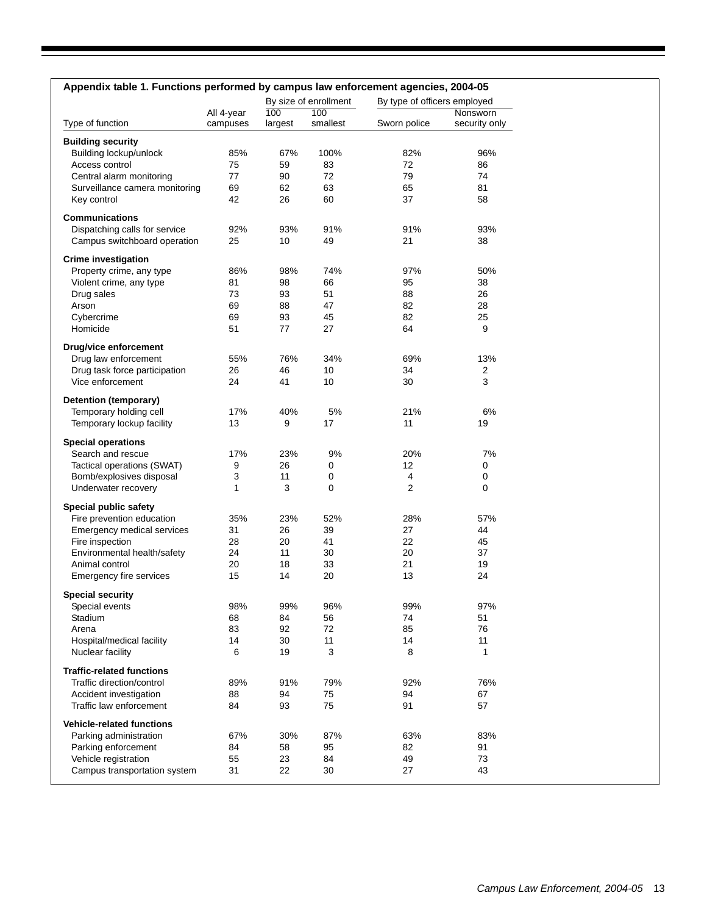| By size of enrollment<br>By type of officers employed<br>100<br>100<br>All 4-year<br>Nonsworn<br>smallest<br>Type of function<br>campuses<br>largest<br>Sworn police<br>security only<br><b>Building security</b><br>Building lockup/unlock<br>85%<br>67%<br>100%<br>82%<br>96%<br>Access control<br>83<br>72<br>75<br>59<br>86<br>79<br>Central alarm monitoring<br>77<br>90<br>72<br>74<br>69<br>62<br>63<br>65<br>81<br>Surveillance camera monitoring<br>37<br>Key control<br>42<br>26<br>60<br>58<br><b>Communications</b><br>Dispatching calls for service<br>92%<br>93%<br>91%<br>91%<br>93%<br>21<br>Campus switchboard operation<br>25<br>10<br>49<br>38<br><b>Crime investigation</b><br>Property crime, any type<br>86%<br>98%<br>74%<br>97%<br>50%<br>Violent crime, any type<br>98<br>66<br>95<br>38<br>81<br>73<br>93<br>51<br>88<br>26<br>Drug sales<br>Arson<br>69<br>88<br>82<br>28<br>47<br>82<br>25<br>Cybercrime<br>69<br>93<br>45<br>51<br>64<br>9<br>Homicide<br>77<br>27<br>Drug/vice enforcement<br>Drug law enforcement<br>55%<br>34%<br>69%<br>13%<br>76%<br>Drug task force participation<br>26<br>46<br>10<br>34<br>2<br>3<br>Vice enforcement<br>24<br>41<br>10<br>30<br>Detention (temporary)<br>17%<br>5%<br>21%<br>6%<br>Temporary holding cell<br>40%<br>Temporary lockup facility<br>13<br>9<br>17<br>11<br>19<br><b>Special operations</b><br>17%<br>23%<br>20%<br>7%<br>Search and rescue<br>9%<br>Tactical operations (SWAT)<br>26<br>12<br>0<br>9<br>0<br>3<br>Bomb/explosives disposal<br>11<br>4<br>0<br>0<br>3<br>0<br>2<br>0<br>Underwater recovery<br>1<br>Special public safety<br>Fire prevention education<br>35%<br>52%<br>57%<br>23%<br>28%<br>Emergency medical services<br>31<br>26<br>39<br>27<br>44<br>Fire inspection<br>28<br>20<br>22<br>45<br>41<br>20<br>Environmental health/safety<br>24<br>11<br>37<br>30<br>20<br>18<br>21<br>Animal control<br>33<br>19<br>15<br>14<br>20<br>13<br>24<br>Emergency fire services<br><b>Special security</b><br>98%<br>99%<br>96%<br>99%<br>97%<br>Special events<br>Stadium<br>68<br>56<br>74<br>51<br>84<br>76<br>Arena<br>83<br>72<br>85<br>92<br>11<br>Hospital/medical facility<br>14<br>30<br>11<br>14<br>Nuclear facility<br>19<br>3<br>8<br>1<br>6<br><b>Traffic-related functions</b><br>89%<br>91%<br>79%<br>92%<br>76%<br>Traffic direction/control<br>Accident investigation<br>88<br>94<br>75<br>94<br>67<br>75<br>91<br>Traffic law enforcement<br>84<br>93<br>57<br><b>Vehicle-related functions</b><br>Parking administration<br>67%<br>30%<br>87%<br>63%<br>83%<br>Parking enforcement<br>95<br>82<br>91<br>84<br>58<br>55<br>23<br>49<br>73<br>Vehicle registration<br>84<br>Campus transportation system<br>31<br>22<br>30<br>27<br>43 | Appendix table 1. Functions performed by campus law enforcement agencies, 2004-05 |  |  |  |
|--------------------------------------------------------------------------------------------------------------------------------------------------------------------------------------------------------------------------------------------------------------------------------------------------------------------------------------------------------------------------------------------------------------------------------------------------------------------------------------------------------------------------------------------------------------------------------------------------------------------------------------------------------------------------------------------------------------------------------------------------------------------------------------------------------------------------------------------------------------------------------------------------------------------------------------------------------------------------------------------------------------------------------------------------------------------------------------------------------------------------------------------------------------------------------------------------------------------------------------------------------------------------------------------------------------------------------------------------------------------------------------------------------------------------------------------------------------------------------------------------------------------------------------------------------------------------------------------------------------------------------------------------------------------------------------------------------------------------------------------------------------------------------------------------------------------------------------------------------------------------------------------------------------------------------------------------------------------------------------------------------------------------------------------------------------------------------------------------------------------------------------------------------------------------------------------------------------------------------------------------------------------------------------------------------------------------------------------------------------------------------------------------------------------------------------------------------------------------------------------------------------------------------------------------------------------------------------------------------------------------------------------------------------------------------------------------------------------------------------------------------|-----------------------------------------------------------------------------------|--|--|--|
|                                                                                                                                                                                                                                                                                                                                                                                                                                                                                                                                                                                                                                                                                                                                                                                                                                                                                                                                                                                                                                                                                                                                                                                                                                                                                                                                                                                                                                                                                                                                                                                                                                                                                                                                                                                                                                                                                                                                                                                                                                                                                                                                                                                                                                                                                                                                                                                                                                                                                                                                                                                                                                                                                                                                                        |                                                                                   |  |  |  |
|                                                                                                                                                                                                                                                                                                                                                                                                                                                                                                                                                                                                                                                                                                                                                                                                                                                                                                                                                                                                                                                                                                                                                                                                                                                                                                                                                                                                                                                                                                                                                                                                                                                                                                                                                                                                                                                                                                                                                                                                                                                                                                                                                                                                                                                                                                                                                                                                                                                                                                                                                                                                                                                                                                                                                        |                                                                                   |  |  |  |
|                                                                                                                                                                                                                                                                                                                                                                                                                                                                                                                                                                                                                                                                                                                                                                                                                                                                                                                                                                                                                                                                                                                                                                                                                                                                                                                                                                                                                                                                                                                                                                                                                                                                                                                                                                                                                                                                                                                                                                                                                                                                                                                                                                                                                                                                                                                                                                                                                                                                                                                                                                                                                                                                                                                                                        |                                                                                   |  |  |  |
|                                                                                                                                                                                                                                                                                                                                                                                                                                                                                                                                                                                                                                                                                                                                                                                                                                                                                                                                                                                                                                                                                                                                                                                                                                                                                                                                                                                                                                                                                                                                                                                                                                                                                                                                                                                                                                                                                                                                                                                                                                                                                                                                                                                                                                                                                                                                                                                                                                                                                                                                                                                                                                                                                                                                                        |                                                                                   |  |  |  |
|                                                                                                                                                                                                                                                                                                                                                                                                                                                                                                                                                                                                                                                                                                                                                                                                                                                                                                                                                                                                                                                                                                                                                                                                                                                                                                                                                                                                                                                                                                                                                                                                                                                                                                                                                                                                                                                                                                                                                                                                                                                                                                                                                                                                                                                                                                                                                                                                                                                                                                                                                                                                                                                                                                                                                        |                                                                                   |  |  |  |
|                                                                                                                                                                                                                                                                                                                                                                                                                                                                                                                                                                                                                                                                                                                                                                                                                                                                                                                                                                                                                                                                                                                                                                                                                                                                                                                                                                                                                                                                                                                                                                                                                                                                                                                                                                                                                                                                                                                                                                                                                                                                                                                                                                                                                                                                                                                                                                                                                                                                                                                                                                                                                                                                                                                                                        |                                                                                   |  |  |  |
|                                                                                                                                                                                                                                                                                                                                                                                                                                                                                                                                                                                                                                                                                                                                                                                                                                                                                                                                                                                                                                                                                                                                                                                                                                                                                                                                                                                                                                                                                                                                                                                                                                                                                                                                                                                                                                                                                                                                                                                                                                                                                                                                                                                                                                                                                                                                                                                                                                                                                                                                                                                                                                                                                                                                                        |                                                                                   |  |  |  |
|                                                                                                                                                                                                                                                                                                                                                                                                                                                                                                                                                                                                                                                                                                                                                                                                                                                                                                                                                                                                                                                                                                                                                                                                                                                                                                                                                                                                                                                                                                                                                                                                                                                                                                                                                                                                                                                                                                                                                                                                                                                                                                                                                                                                                                                                                                                                                                                                                                                                                                                                                                                                                                                                                                                                                        |                                                                                   |  |  |  |
|                                                                                                                                                                                                                                                                                                                                                                                                                                                                                                                                                                                                                                                                                                                                                                                                                                                                                                                                                                                                                                                                                                                                                                                                                                                                                                                                                                                                                                                                                                                                                                                                                                                                                                                                                                                                                                                                                                                                                                                                                                                                                                                                                                                                                                                                                                                                                                                                                                                                                                                                                                                                                                                                                                                                                        |                                                                                   |  |  |  |
|                                                                                                                                                                                                                                                                                                                                                                                                                                                                                                                                                                                                                                                                                                                                                                                                                                                                                                                                                                                                                                                                                                                                                                                                                                                                                                                                                                                                                                                                                                                                                                                                                                                                                                                                                                                                                                                                                                                                                                                                                                                                                                                                                                                                                                                                                                                                                                                                                                                                                                                                                                                                                                                                                                                                                        |                                                                                   |  |  |  |
|                                                                                                                                                                                                                                                                                                                                                                                                                                                                                                                                                                                                                                                                                                                                                                                                                                                                                                                                                                                                                                                                                                                                                                                                                                                                                                                                                                                                                                                                                                                                                                                                                                                                                                                                                                                                                                                                                                                                                                                                                                                                                                                                                                                                                                                                                                                                                                                                                                                                                                                                                                                                                                                                                                                                                        |                                                                                   |  |  |  |
|                                                                                                                                                                                                                                                                                                                                                                                                                                                                                                                                                                                                                                                                                                                                                                                                                                                                                                                                                                                                                                                                                                                                                                                                                                                                                                                                                                                                                                                                                                                                                                                                                                                                                                                                                                                                                                                                                                                                                                                                                                                                                                                                                                                                                                                                                                                                                                                                                                                                                                                                                                                                                                                                                                                                                        |                                                                                   |  |  |  |
|                                                                                                                                                                                                                                                                                                                                                                                                                                                                                                                                                                                                                                                                                                                                                                                                                                                                                                                                                                                                                                                                                                                                                                                                                                                                                                                                                                                                                                                                                                                                                                                                                                                                                                                                                                                                                                                                                                                                                                                                                                                                                                                                                                                                                                                                                                                                                                                                                                                                                                                                                                                                                                                                                                                                                        |                                                                                   |  |  |  |
|                                                                                                                                                                                                                                                                                                                                                                                                                                                                                                                                                                                                                                                                                                                                                                                                                                                                                                                                                                                                                                                                                                                                                                                                                                                                                                                                                                                                                                                                                                                                                                                                                                                                                                                                                                                                                                                                                                                                                                                                                                                                                                                                                                                                                                                                                                                                                                                                                                                                                                                                                                                                                                                                                                                                                        |                                                                                   |  |  |  |
|                                                                                                                                                                                                                                                                                                                                                                                                                                                                                                                                                                                                                                                                                                                                                                                                                                                                                                                                                                                                                                                                                                                                                                                                                                                                                                                                                                                                                                                                                                                                                                                                                                                                                                                                                                                                                                                                                                                                                                                                                                                                                                                                                                                                                                                                                                                                                                                                                                                                                                                                                                                                                                                                                                                                                        |                                                                                   |  |  |  |
|                                                                                                                                                                                                                                                                                                                                                                                                                                                                                                                                                                                                                                                                                                                                                                                                                                                                                                                                                                                                                                                                                                                                                                                                                                                                                                                                                                                                                                                                                                                                                                                                                                                                                                                                                                                                                                                                                                                                                                                                                                                                                                                                                                                                                                                                                                                                                                                                                                                                                                                                                                                                                                                                                                                                                        |                                                                                   |  |  |  |
|                                                                                                                                                                                                                                                                                                                                                                                                                                                                                                                                                                                                                                                                                                                                                                                                                                                                                                                                                                                                                                                                                                                                                                                                                                                                                                                                                                                                                                                                                                                                                                                                                                                                                                                                                                                                                                                                                                                                                                                                                                                                                                                                                                                                                                                                                                                                                                                                                                                                                                                                                                                                                                                                                                                                                        |                                                                                   |  |  |  |
|                                                                                                                                                                                                                                                                                                                                                                                                                                                                                                                                                                                                                                                                                                                                                                                                                                                                                                                                                                                                                                                                                                                                                                                                                                                                                                                                                                                                                                                                                                                                                                                                                                                                                                                                                                                                                                                                                                                                                                                                                                                                                                                                                                                                                                                                                                                                                                                                                                                                                                                                                                                                                                                                                                                                                        |                                                                                   |  |  |  |
|                                                                                                                                                                                                                                                                                                                                                                                                                                                                                                                                                                                                                                                                                                                                                                                                                                                                                                                                                                                                                                                                                                                                                                                                                                                                                                                                                                                                                                                                                                                                                                                                                                                                                                                                                                                                                                                                                                                                                                                                                                                                                                                                                                                                                                                                                                                                                                                                                                                                                                                                                                                                                                                                                                                                                        |                                                                                   |  |  |  |
|                                                                                                                                                                                                                                                                                                                                                                                                                                                                                                                                                                                                                                                                                                                                                                                                                                                                                                                                                                                                                                                                                                                                                                                                                                                                                                                                                                                                                                                                                                                                                                                                                                                                                                                                                                                                                                                                                                                                                                                                                                                                                                                                                                                                                                                                                                                                                                                                                                                                                                                                                                                                                                                                                                                                                        |                                                                                   |  |  |  |
|                                                                                                                                                                                                                                                                                                                                                                                                                                                                                                                                                                                                                                                                                                                                                                                                                                                                                                                                                                                                                                                                                                                                                                                                                                                                                                                                                                                                                                                                                                                                                                                                                                                                                                                                                                                                                                                                                                                                                                                                                                                                                                                                                                                                                                                                                                                                                                                                                                                                                                                                                                                                                                                                                                                                                        |                                                                                   |  |  |  |
|                                                                                                                                                                                                                                                                                                                                                                                                                                                                                                                                                                                                                                                                                                                                                                                                                                                                                                                                                                                                                                                                                                                                                                                                                                                                                                                                                                                                                                                                                                                                                                                                                                                                                                                                                                                                                                                                                                                                                                                                                                                                                                                                                                                                                                                                                                                                                                                                                                                                                                                                                                                                                                                                                                                                                        |                                                                                   |  |  |  |
|                                                                                                                                                                                                                                                                                                                                                                                                                                                                                                                                                                                                                                                                                                                                                                                                                                                                                                                                                                                                                                                                                                                                                                                                                                                                                                                                                                                                                                                                                                                                                                                                                                                                                                                                                                                                                                                                                                                                                                                                                                                                                                                                                                                                                                                                                                                                                                                                                                                                                                                                                                                                                                                                                                                                                        |                                                                                   |  |  |  |
|                                                                                                                                                                                                                                                                                                                                                                                                                                                                                                                                                                                                                                                                                                                                                                                                                                                                                                                                                                                                                                                                                                                                                                                                                                                                                                                                                                                                                                                                                                                                                                                                                                                                                                                                                                                                                                                                                                                                                                                                                                                                                                                                                                                                                                                                                                                                                                                                                                                                                                                                                                                                                                                                                                                                                        |                                                                                   |  |  |  |
|                                                                                                                                                                                                                                                                                                                                                                                                                                                                                                                                                                                                                                                                                                                                                                                                                                                                                                                                                                                                                                                                                                                                                                                                                                                                                                                                                                                                                                                                                                                                                                                                                                                                                                                                                                                                                                                                                                                                                                                                                                                                                                                                                                                                                                                                                                                                                                                                                                                                                                                                                                                                                                                                                                                                                        |                                                                                   |  |  |  |
|                                                                                                                                                                                                                                                                                                                                                                                                                                                                                                                                                                                                                                                                                                                                                                                                                                                                                                                                                                                                                                                                                                                                                                                                                                                                                                                                                                                                                                                                                                                                                                                                                                                                                                                                                                                                                                                                                                                                                                                                                                                                                                                                                                                                                                                                                                                                                                                                                                                                                                                                                                                                                                                                                                                                                        |                                                                                   |  |  |  |
|                                                                                                                                                                                                                                                                                                                                                                                                                                                                                                                                                                                                                                                                                                                                                                                                                                                                                                                                                                                                                                                                                                                                                                                                                                                                                                                                                                                                                                                                                                                                                                                                                                                                                                                                                                                                                                                                                                                                                                                                                                                                                                                                                                                                                                                                                                                                                                                                                                                                                                                                                                                                                                                                                                                                                        |                                                                                   |  |  |  |
|                                                                                                                                                                                                                                                                                                                                                                                                                                                                                                                                                                                                                                                                                                                                                                                                                                                                                                                                                                                                                                                                                                                                                                                                                                                                                                                                                                                                                                                                                                                                                                                                                                                                                                                                                                                                                                                                                                                                                                                                                                                                                                                                                                                                                                                                                                                                                                                                                                                                                                                                                                                                                                                                                                                                                        |                                                                                   |  |  |  |
|                                                                                                                                                                                                                                                                                                                                                                                                                                                                                                                                                                                                                                                                                                                                                                                                                                                                                                                                                                                                                                                                                                                                                                                                                                                                                                                                                                                                                                                                                                                                                                                                                                                                                                                                                                                                                                                                                                                                                                                                                                                                                                                                                                                                                                                                                                                                                                                                                                                                                                                                                                                                                                                                                                                                                        |                                                                                   |  |  |  |
|                                                                                                                                                                                                                                                                                                                                                                                                                                                                                                                                                                                                                                                                                                                                                                                                                                                                                                                                                                                                                                                                                                                                                                                                                                                                                                                                                                                                                                                                                                                                                                                                                                                                                                                                                                                                                                                                                                                                                                                                                                                                                                                                                                                                                                                                                                                                                                                                                                                                                                                                                                                                                                                                                                                                                        |                                                                                   |  |  |  |
|                                                                                                                                                                                                                                                                                                                                                                                                                                                                                                                                                                                                                                                                                                                                                                                                                                                                                                                                                                                                                                                                                                                                                                                                                                                                                                                                                                                                                                                                                                                                                                                                                                                                                                                                                                                                                                                                                                                                                                                                                                                                                                                                                                                                                                                                                                                                                                                                                                                                                                                                                                                                                                                                                                                                                        |                                                                                   |  |  |  |
|                                                                                                                                                                                                                                                                                                                                                                                                                                                                                                                                                                                                                                                                                                                                                                                                                                                                                                                                                                                                                                                                                                                                                                                                                                                                                                                                                                                                                                                                                                                                                                                                                                                                                                                                                                                                                                                                                                                                                                                                                                                                                                                                                                                                                                                                                                                                                                                                                                                                                                                                                                                                                                                                                                                                                        |                                                                                   |  |  |  |
|                                                                                                                                                                                                                                                                                                                                                                                                                                                                                                                                                                                                                                                                                                                                                                                                                                                                                                                                                                                                                                                                                                                                                                                                                                                                                                                                                                                                                                                                                                                                                                                                                                                                                                                                                                                                                                                                                                                                                                                                                                                                                                                                                                                                                                                                                                                                                                                                                                                                                                                                                                                                                                                                                                                                                        |                                                                                   |  |  |  |
|                                                                                                                                                                                                                                                                                                                                                                                                                                                                                                                                                                                                                                                                                                                                                                                                                                                                                                                                                                                                                                                                                                                                                                                                                                                                                                                                                                                                                                                                                                                                                                                                                                                                                                                                                                                                                                                                                                                                                                                                                                                                                                                                                                                                                                                                                                                                                                                                                                                                                                                                                                                                                                                                                                                                                        |                                                                                   |  |  |  |
|                                                                                                                                                                                                                                                                                                                                                                                                                                                                                                                                                                                                                                                                                                                                                                                                                                                                                                                                                                                                                                                                                                                                                                                                                                                                                                                                                                                                                                                                                                                                                                                                                                                                                                                                                                                                                                                                                                                                                                                                                                                                                                                                                                                                                                                                                                                                                                                                                                                                                                                                                                                                                                                                                                                                                        |                                                                                   |  |  |  |
|                                                                                                                                                                                                                                                                                                                                                                                                                                                                                                                                                                                                                                                                                                                                                                                                                                                                                                                                                                                                                                                                                                                                                                                                                                                                                                                                                                                                                                                                                                                                                                                                                                                                                                                                                                                                                                                                                                                                                                                                                                                                                                                                                                                                                                                                                                                                                                                                                                                                                                                                                                                                                                                                                                                                                        |                                                                                   |  |  |  |
|                                                                                                                                                                                                                                                                                                                                                                                                                                                                                                                                                                                                                                                                                                                                                                                                                                                                                                                                                                                                                                                                                                                                                                                                                                                                                                                                                                                                                                                                                                                                                                                                                                                                                                                                                                                                                                                                                                                                                                                                                                                                                                                                                                                                                                                                                                                                                                                                                                                                                                                                                                                                                                                                                                                                                        |                                                                                   |  |  |  |
|                                                                                                                                                                                                                                                                                                                                                                                                                                                                                                                                                                                                                                                                                                                                                                                                                                                                                                                                                                                                                                                                                                                                                                                                                                                                                                                                                                                                                                                                                                                                                                                                                                                                                                                                                                                                                                                                                                                                                                                                                                                                                                                                                                                                                                                                                                                                                                                                                                                                                                                                                                                                                                                                                                                                                        |                                                                                   |  |  |  |
|                                                                                                                                                                                                                                                                                                                                                                                                                                                                                                                                                                                                                                                                                                                                                                                                                                                                                                                                                                                                                                                                                                                                                                                                                                                                                                                                                                                                                                                                                                                                                                                                                                                                                                                                                                                                                                                                                                                                                                                                                                                                                                                                                                                                                                                                                                                                                                                                                                                                                                                                                                                                                                                                                                                                                        |                                                                                   |  |  |  |
|                                                                                                                                                                                                                                                                                                                                                                                                                                                                                                                                                                                                                                                                                                                                                                                                                                                                                                                                                                                                                                                                                                                                                                                                                                                                                                                                                                                                                                                                                                                                                                                                                                                                                                                                                                                                                                                                                                                                                                                                                                                                                                                                                                                                                                                                                                                                                                                                                                                                                                                                                                                                                                                                                                                                                        |                                                                                   |  |  |  |
|                                                                                                                                                                                                                                                                                                                                                                                                                                                                                                                                                                                                                                                                                                                                                                                                                                                                                                                                                                                                                                                                                                                                                                                                                                                                                                                                                                                                                                                                                                                                                                                                                                                                                                                                                                                                                                                                                                                                                                                                                                                                                                                                                                                                                                                                                                                                                                                                                                                                                                                                                                                                                                                                                                                                                        |                                                                                   |  |  |  |
|                                                                                                                                                                                                                                                                                                                                                                                                                                                                                                                                                                                                                                                                                                                                                                                                                                                                                                                                                                                                                                                                                                                                                                                                                                                                                                                                                                                                                                                                                                                                                                                                                                                                                                                                                                                                                                                                                                                                                                                                                                                                                                                                                                                                                                                                                                                                                                                                                                                                                                                                                                                                                                                                                                                                                        |                                                                                   |  |  |  |
|                                                                                                                                                                                                                                                                                                                                                                                                                                                                                                                                                                                                                                                                                                                                                                                                                                                                                                                                                                                                                                                                                                                                                                                                                                                                                                                                                                                                                                                                                                                                                                                                                                                                                                                                                                                                                                                                                                                                                                                                                                                                                                                                                                                                                                                                                                                                                                                                                                                                                                                                                                                                                                                                                                                                                        |                                                                                   |  |  |  |
|                                                                                                                                                                                                                                                                                                                                                                                                                                                                                                                                                                                                                                                                                                                                                                                                                                                                                                                                                                                                                                                                                                                                                                                                                                                                                                                                                                                                                                                                                                                                                                                                                                                                                                                                                                                                                                                                                                                                                                                                                                                                                                                                                                                                                                                                                                                                                                                                                                                                                                                                                                                                                                                                                                                                                        |                                                                                   |  |  |  |
|                                                                                                                                                                                                                                                                                                                                                                                                                                                                                                                                                                                                                                                                                                                                                                                                                                                                                                                                                                                                                                                                                                                                                                                                                                                                                                                                                                                                                                                                                                                                                                                                                                                                                                                                                                                                                                                                                                                                                                                                                                                                                                                                                                                                                                                                                                                                                                                                                                                                                                                                                                                                                                                                                                                                                        |                                                                                   |  |  |  |
|                                                                                                                                                                                                                                                                                                                                                                                                                                                                                                                                                                                                                                                                                                                                                                                                                                                                                                                                                                                                                                                                                                                                                                                                                                                                                                                                                                                                                                                                                                                                                                                                                                                                                                                                                                                                                                                                                                                                                                                                                                                                                                                                                                                                                                                                                                                                                                                                                                                                                                                                                                                                                                                                                                                                                        |                                                                                   |  |  |  |
|                                                                                                                                                                                                                                                                                                                                                                                                                                                                                                                                                                                                                                                                                                                                                                                                                                                                                                                                                                                                                                                                                                                                                                                                                                                                                                                                                                                                                                                                                                                                                                                                                                                                                                                                                                                                                                                                                                                                                                                                                                                                                                                                                                                                                                                                                                                                                                                                                                                                                                                                                                                                                                                                                                                                                        |                                                                                   |  |  |  |
|                                                                                                                                                                                                                                                                                                                                                                                                                                                                                                                                                                                                                                                                                                                                                                                                                                                                                                                                                                                                                                                                                                                                                                                                                                                                                                                                                                                                                                                                                                                                                                                                                                                                                                                                                                                                                                                                                                                                                                                                                                                                                                                                                                                                                                                                                                                                                                                                                                                                                                                                                                                                                                                                                                                                                        |                                                                                   |  |  |  |
|                                                                                                                                                                                                                                                                                                                                                                                                                                                                                                                                                                                                                                                                                                                                                                                                                                                                                                                                                                                                                                                                                                                                                                                                                                                                                                                                                                                                                                                                                                                                                                                                                                                                                                                                                                                                                                                                                                                                                                                                                                                                                                                                                                                                                                                                                                                                                                                                                                                                                                                                                                                                                                                                                                                                                        |                                                                                   |  |  |  |
|                                                                                                                                                                                                                                                                                                                                                                                                                                                                                                                                                                                                                                                                                                                                                                                                                                                                                                                                                                                                                                                                                                                                                                                                                                                                                                                                                                                                                                                                                                                                                                                                                                                                                                                                                                                                                                                                                                                                                                                                                                                                                                                                                                                                                                                                                                                                                                                                                                                                                                                                                                                                                                                                                                                                                        |                                                                                   |  |  |  |
|                                                                                                                                                                                                                                                                                                                                                                                                                                                                                                                                                                                                                                                                                                                                                                                                                                                                                                                                                                                                                                                                                                                                                                                                                                                                                                                                                                                                                                                                                                                                                                                                                                                                                                                                                                                                                                                                                                                                                                                                                                                                                                                                                                                                                                                                                                                                                                                                                                                                                                                                                                                                                                                                                                                                                        |                                                                                   |  |  |  |
|                                                                                                                                                                                                                                                                                                                                                                                                                                                                                                                                                                                                                                                                                                                                                                                                                                                                                                                                                                                                                                                                                                                                                                                                                                                                                                                                                                                                                                                                                                                                                                                                                                                                                                                                                                                                                                                                                                                                                                                                                                                                                                                                                                                                                                                                                                                                                                                                                                                                                                                                                                                                                                                                                                                                                        |                                                                                   |  |  |  |
|                                                                                                                                                                                                                                                                                                                                                                                                                                                                                                                                                                                                                                                                                                                                                                                                                                                                                                                                                                                                                                                                                                                                                                                                                                                                                                                                                                                                                                                                                                                                                                                                                                                                                                                                                                                                                                                                                                                                                                                                                                                                                                                                                                                                                                                                                                                                                                                                                                                                                                                                                                                                                                                                                                                                                        |                                                                                   |  |  |  |
|                                                                                                                                                                                                                                                                                                                                                                                                                                                                                                                                                                                                                                                                                                                                                                                                                                                                                                                                                                                                                                                                                                                                                                                                                                                                                                                                                                                                                                                                                                                                                                                                                                                                                                                                                                                                                                                                                                                                                                                                                                                                                                                                                                                                                                                                                                                                                                                                                                                                                                                                                                                                                                                                                                                                                        |                                                                                   |  |  |  |
|                                                                                                                                                                                                                                                                                                                                                                                                                                                                                                                                                                                                                                                                                                                                                                                                                                                                                                                                                                                                                                                                                                                                                                                                                                                                                                                                                                                                                                                                                                                                                                                                                                                                                                                                                                                                                                                                                                                                                                                                                                                                                                                                                                                                                                                                                                                                                                                                                                                                                                                                                                                                                                                                                                                                                        |                                                                                   |  |  |  |
|                                                                                                                                                                                                                                                                                                                                                                                                                                                                                                                                                                                                                                                                                                                                                                                                                                                                                                                                                                                                                                                                                                                                                                                                                                                                                                                                                                                                                                                                                                                                                                                                                                                                                                                                                                                                                                                                                                                                                                                                                                                                                                                                                                                                                                                                                                                                                                                                                                                                                                                                                                                                                                                                                                                                                        |                                                                                   |  |  |  |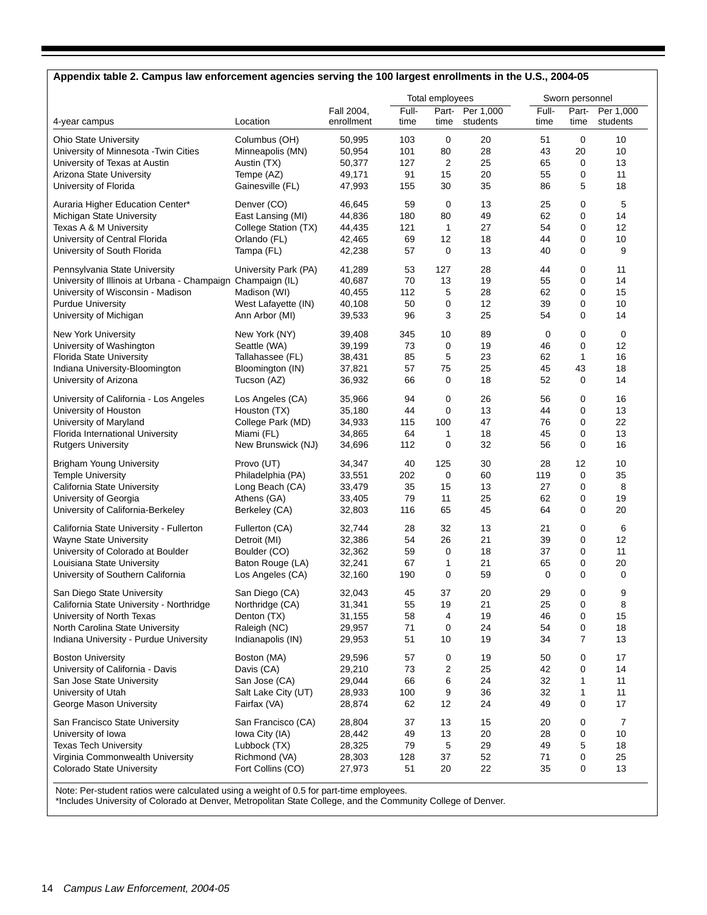## **Appendix table 2. Campus law enforcement agencies serving the 100 largest enrollments in the U.S., 2004-05**

|                                                             |                      |            |       | Total employees |           |       | Sworn personnel |           |
|-------------------------------------------------------------|----------------------|------------|-------|-----------------|-----------|-------|-----------------|-----------|
|                                                             |                      | Fall 2004, | Full- | Part-           | Per 1,000 | Full- | Part-           | Per 1,000 |
| 4-year campus                                               | Location             | enrollment | time  | time            | students  | time  | time            | students  |
| <b>Ohio State University</b>                                | Columbus (OH)        | 50,995     | 103   | $\mathbf 0$     | 20        | 51    | 0               | 10        |
| University of Minnesota - Twin Cities                       | Minneapolis (MN)     | 50,954     | 101   | 80              | 28        | 43    | 20              | 10        |
| University of Texas at Austin                               | Austin (TX)          | 50,377     | 127   | 2               | 25        | 65    | 0               | 13        |
| Arizona State University                                    | Tempe (AZ)           | 49,171     | 91    | 15              | 20        | 55    | 0               | 11        |
| University of Florida                                       | Gainesville (FL)     | 47,993     | 155   | 30              | 35        | 86    | 5               | 18        |
| Auraria Higher Education Center*                            | Denver (CO)          | 46,645     | 59    | 0               | 13        | 25    | 0               | 5         |
| Michigan State University                                   | East Lansing (MI)    | 44,836     | 180   | 80              | 49        | 62    | 0               | 14        |
| Texas A & M University                                      | College Station (TX) | 44,435     | 121   | 1               | 27        | 54    | 0               | 12        |
| University of Central Florida                               | Orlando (FL)         | 42,465     | 69    | 12              | 18        | 44    | 0               | 10        |
| University of South Florida                                 | Tampa (FL)           | 42,238     | 57    | $\mathbf 0$     | 13        | 40    | 0               | 9         |
| Pennsylvania State University                               | University Park (PA) | 41,289     | 53    | 127             | 28        | 44    | 0               | 11        |
| University of Illinois at Urbana - Champaign Champaign (IL) |                      | 40,687     | 70    | 13              | 19        | 55    | 0               | 14        |
| University of Wisconsin - Madison                           | Madison (WI)         | 40,455     | 112   | 5               | 28        | 62    | 0               | 15        |
| <b>Purdue University</b>                                    | West Lafayette (IN)  | 40,108     | 50    | 0               | 12        | 39    | 0               | 10        |
| University of Michigan                                      | Ann Arbor (MI)       | 39,533     | 96    | 3               | 25        | 54    | 0               | 14        |
| New York University                                         | New York (NY)        | 39,408     | 345   | 10              | 89        | 0     | 0               | 0         |
| University of Washington                                    | Seattle (WA)         | 39,199     | 73    | $\mathbf 0$     | 19        | 46    | 0               | 12        |
| <b>Florida State University</b>                             | Tallahassee (FL)     | 38,431     | 85    | 5               | 23        | 62    | 1               | 16        |
| Indiana University-Bloomington                              | Bloomington (IN)     | 37,821     | 57    | 75              | 25        | 45    | 43              | 18        |
| University of Arizona                                       | Tucson (AZ)          | 36,932     | 66    | 0               | 18        | 52    | 0               | 14        |
| University of California - Los Angeles                      | Los Angeles (CA)     | 35,966     | 94    | 0               | 26        | 56    | 0               | 16        |
| University of Houston                                       | Houston (TX)         | 35,180     | 44    | 0               | 13        | 44    | 0               | 13        |
| University of Maryland                                      | College Park (MD)    | 34,933     | 115   | 100             | 47        | 76    | 0               | 22        |
| Florida International University                            | Miami (FL)           | 34,865     | 64    | 1               | 18        | 45    | 0               | 13        |
| <b>Rutgers University</b>                                   | New Brunswick (NJ)   | 34,696     | 112   | $\mathbf 0$     | 32        | 56    | 0               | 16        |
| <b>Brigham Young University</b>                             | Provo (UT)           | 34,347     | 40    | 125             | 30        | 28    | 12              | 10        |
| <b>Temple University</b>                                    | Philadelphia (PA)    | 33,551     | 202   | 0               | 60        | 119   | 0               | 35        |
| California State University                                 | Long Beach (CA)      | 33,479     | 35    | 15              | 13        | 27    | 0               | 8         |
| University of Georgia                                       | Athens (GA)          | 33,405     | 79    | 11              | 25        | 62    | 0               | 19        |
| University of California-Berkeley                           | Berkeley (CA)        | 32,803     | 116   | 65              | 45        | 64    | 0               | 20        |
| California State University - Fullerton                     | Fullerton (CA)       | 32,744     | 28    | 32              | 13        | 21    | 0               | 6         |
| Wayne State University                                      | Detroit (MI)         | 32,386     | 54    | 26              | 21        | 39    | 0               | 12        |
| University of Colorado at Boulder                           | Boulder (CO)         | 32,362     | 59    | 0               | 18        | 37    | 0               | 11        |
| Louisiana State University                                  | Baton Rouge (LA)     | 32,241     | 67    | 1               | 21        | 65    | 0               | 20        |
| University of Southern California                           | Los Angeles (CA)     | 32,160     | 190   | $\mathbf 0$     | 59        | 0     | 0               | 0         |
| San Diego State University                                  | San Diego (CA)       | 32,043     | 45    | 37              | 20        | 29    | $\mathbf 0$     | 9         |
| California State University - Northridge                    | Northridge (CA)      | 31,341     | 55    | 19              | 21        | 25    | 0               | 8         |
| University of North Texas                                   | Denton (TX)          | 31,155     | 58    | 4               | 19        | 46    | 0               | 15        |
| North Carolina State University                             | Raleigh (NC)         | 29,957     | 71    | 0               | 24        | 54    | 0               | 18        |
| Indiana University - Purdue University                      | Indianapolis (IN)    | 29,953     | 51    | 10              | 19        | 34    | 7               | 13        |
| <b>Boston University</b>                                    | Boston (MA)          | 29,596     | 57    | 0               | 19        | 50    | 0               | 17        |
| University of California - Davis                            | Davis (CA)           | 29,210     | 73    | 2               | 25        | 42    | 0               | 14        |
| San Jose State University                                   | San Jose (CA)        | 29,044     | 66    | 6               | 24        | 32    | $\mathbf 1$     | 11        |
| University of Utah                                          | Salt Lake City (UT)  | 28,933     | 100   | 9               | 36        | 32    | 1               | 11        |
| George Mason University                                     | Fairfax (VA)         | 28,874     | 62    | 12              | 24        | 49    | 0               | 17        |
| San Francisco State University                              | San Francisco (CA)   | 28,804     | 37    | 13              | 15        | 20    | 0               | 7         |
| University of Iowa                                          | Iowa City (IA)       | 28,442     | 49    | 13              | 20        | 28    | 0               | 10        |
| <b>Texas Tech University</b>                                | Lubbock (TX)         | 28,325     | 79    | 5               | 29        | 49    | 5               | 18        |
| Virginia Commonwealth University                            | Richmond (VA)        | 28,303     | 128   | 37              | 52        | 71    | 0               | 25        |
| Colorado State University                                   | Fort Collins (CO)    | 27,973     | 51    | 20              | 22        | 35    | 0               | 13        |

Note: Per-student ratios were calculated using a weight of 0.5 for part-time employees.

\*Includes University of Colorado at Denver, Metropolitan State College, and the Community College of Denver.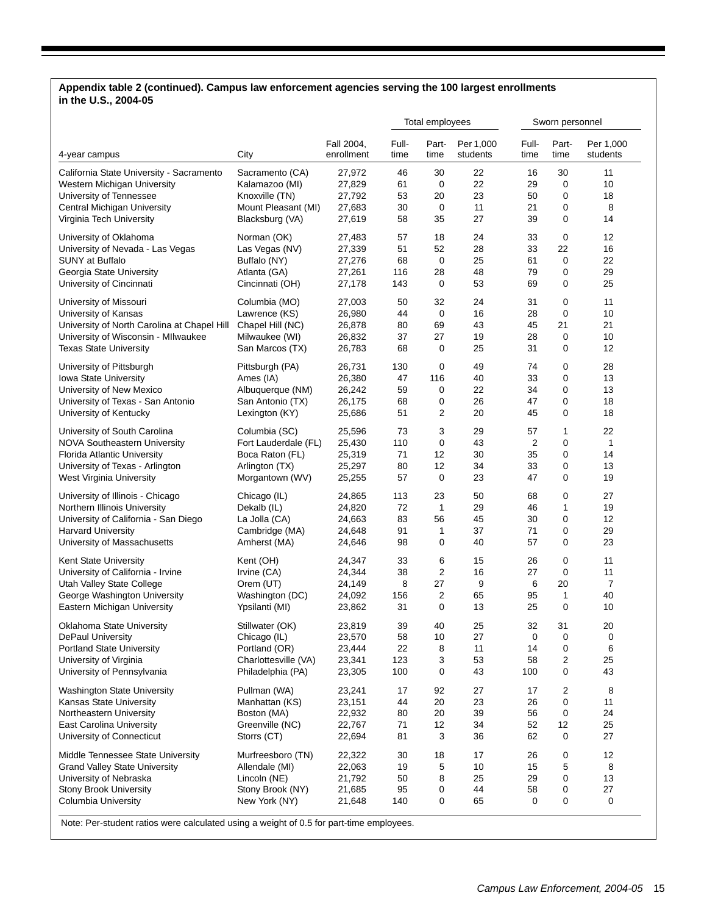## **Appendix table 2 (continued). Campus law enforcement agencies serving the 100 largest enrollments in the U.S., 2004-05**

|                                                                    |                      |                          |               | Total employees |                       |               | Sworn personnel |                       |
|--------------------------------------------------------------------|----------------------|--------------------------|---------------|-----------------|-----------------------|---------------|-----------------|-----------------------|
| 4-year campus                                                      | City                 | Fall 2004,<br>enrollment | Full-<br>time | Part-<br>time   | Per 1,000<br>students | Full-<br>time | Part-<br>time   | Per 1,000<br>students |
| California State University - Sacramento                           | Sacramento (CA)      | 27,972                   | 46            | 30              | 22                    | 16            | 30              | 11                    |
| Western Michigan University                                        | Kalamazoo (MI)       | 27,829                   | 61            | 0               | 22                    | 29            | 0               | 10                    |
| University of Tennessee                                            | Knoxville (TN)       | 27,792                   | 53            | 20              | 23                    | 50            | 0               | 18                    |
| Central Michigan University                                        | Mount Pleasant (MI)  | 27,683                   | 30            | 0               | 11                    | 21            | 0               | 8                     |
| Virginia Tech University                                           | Blacksburg (VA)      | 27,619                   | 58            | 35              | 27                    | 39            | 0               | 14                    |
| University of Oklahoma                                             | Norman (OK)          | 27,483                   | 57            | 18              | 24                    | 33            | 0               | 12                    |
| University of Nevada - Las Vegas                                   | Las Vegas (NV)       | 27,339                   | 51            | 52              | 28                    | 33            | 22              | 16                    |
| SUNY at Buffalo                                                    | Buffalo (NY)         | 27,276                   | 68            | 0               | 25                    | 61            | 0               | 22                    |
| Georgia State University                                           | Atlanta (GA)         | 27,261                   | 116           | 28              | 48                    | 79            | 0               | 29                    |
| University of Cincinnati                                           | Cincinnati (OH)      | 27,178                   | 143           | 0               | 53                    | 69            | 0               | 25                    |
| University of Missouri                                             | Columbia (MO)        | 27,003                   | 50            | 32              | 24                    | 31            | 0               | 11                    |
| University of Kansas                                               | Lawrence (KS)        | 26,980                   | 44            | $\mathbf 0$     | 16                    | 28            | 0               | 10                    |
| University of North Carolina at Chapel Hill                        | Chapel Hill (NC)     | 26,878                   | 80            | 69              | 43                    | 45            | 21              | 21                    |
| University of Wisconsin - Mllwaukee                                | Milwaukee (WI)       | 26,832                   | 37            | 27              | 19                    | 28            | 0               | 10                    |
| <b>Texas State University</b>                                      | San Marcos (TX)      | 26,783                   | 68            | 0               | 25                    | 31            | 0               | 12                    |
| University of Pittsburgh                                           | Pittsburgh (PA)      | 26,731                   | 130           | 0               | 49                    | 74            | 0               | 28                    |
| Iowa State University                                              | Ames (IA)            | 26,380                   | 47            | 116             | 40                    | 33            | 0               | 13                    |
| University of New Mexico                                           | Albuquerque (NM)     | 26,242                   | 59            | 0               | 22                    | 34            | 0               | 13                    |
| University of Texas - San Antonio                                  | San Antonio (TX)     | 26,175                   | 68            | 0               | 26                    | 47            | 0               | 18                    |
| University of Kentucky                                             | Lexington (KY)       | 25,686                   | 51            | 2               | 20                    | 45            | 0               | 18                    |
| University of South Carolina                                       | Columbia (SC)        | 25,596                   | 73            | 3               | 29                    | 57            | 1               | 22                    |
| <b>NOVA Southeastern University</b>                                | Fort Lauderdale (FL) | 25,430                   | 110           | 0               | 43                    | 2             | 0               | $\mathbf{1}$          |
| <b>Florida Atlantic University</b>                                 | Boca Raton (FL)      | 25,319                   | 71            | 12              | 30                    | 35            | 0               | 14                    |
| University of Texas - Arlington                                    | Arlington (TX)       | 25,297                   | 80            | 12              | 34                    | 33            | 0               | 13                    |
| West Virginia University                                           | Morgantown (WV)      | 25,255                   | 57            | 0               | 23                    | 47            | 0               | 19                    |
| University of Illinois - Chicago                                   | Chicago (IL)         | 24,865                   | 113           | 23              | 50                    | 68            | 0               | 27                    |
| Northern Illinois University                                       | Dekalb (IL)          | 24,820                   | 72            | 1               | 29                    | 46            | 1               | 19                    |
| University of California - San Diego                               | La Jolla (CA)        | 24,663                   | 83            | 56              | 45                    | 30            | 0               | 12                    |
| <b>Harvard University</b>                                          | Cambridge (MA)       | 24,648                   | 91            | 1               | 37                    | 71            | 0               | 29                    |
| University of Massachusetts                                        | Amherst (MA)         | 24,646                   | 98            | 0               | 40                    | 57            | 0               | 23                    |
| Kent State University                                              | Kent (OH)            | 24,347                   | 33            | 6               | 15                    | 26            | 0               | 11                    |
| University of California - Irvine                                  | Irvine (CA)          | 24,344                   | 38            | 2               | 16                    | 27            | 0               | 11                    |
| Utah Valley State College                                          | Orem (UT)            | 24,149                   | 8             | 27              | 9                     | 6             | 20              | $\overline{7}$        |
| George Washington University                                       | Washington (DC)      | 24,092                   | 156           | $\overline{c}$  | 65                    | 95            | 1               | 40                    |
| Eastern Michigan University                                        | Ypsilanti (MI)       | 23,862                   | 31            | 0               | 13                    | 25            | $\mathbf 0$     | 10                    |
| Oklahoma State University                                          | Stillwater (OK)      | 23,819                   | 39            | 40              | 25                    | 32            | 31              | 20                    |
| <b>DePaul University</b>                                           | Chicago (IL)         | 23,570                   | 58            | 10              | 27                    | 0             | 0               | 0                     |
| <b>Portland State University</b>                                   | Portland (OR)        | 23,444                   | 22            | 8               | 11                    | 14            | 0               | 6                     |
| University of Virginia                                             | Charlottesville (VA) | 23,341                   | 123           | 3               | 53                    | 58            | 2               | 25                    |
| University of Pennsylvania                                         | Philadelphia (PA)    | 23,305                   | 100           | 0               | 43                    | 100           | 0               | 43                    |
| Washington State University                                        | Pullman (WA)         | 23,241                   | 17            | 92              | 27                    | 17            | 2               | 8                     |
| Kansas State University                                            | Manhattan (KS)       | 23,151                   | 44            | 20              | 23                    | 26            | $\pmb{0}$       | 11                    |
| Northeastern University                                            | Boston (MA)          | 22,932                   | 80            | 20              | 39                    | 56            | 0               | 24                    |
| <b>East Carolina University</b>                                    | Greenville (NC)      | 22,767                   | 71            | 12              | 34                    | 52            | 12              | 25                    |
| University of Connecticut                                          | Storrs (CT)          | 22,694                   | 81            | 3               | 36                    | 62            | 0               | 27                    |
| Middle Tennessee State University                                  | Murfreesboro (TN)    | 22,322                   | 30            | 18              | 17                    | 26            | 0               | 12                    |
| <b>Grand Valley State University</b>                               | Allendale (MI)       | 22,063                   | 19            | 5               | 10                    | 15            | 5               | 8                     |
| University of Nebraska                                             | Lincoln (NE)         | 21,792                   | 50            | 8               | 25                    | 29            | 0               | 13                    |
| Stony Brook University                                             | Stony Brook (NY)     | 21,685                   | 95            | 0               | 44                    | 58            | 0               | 27                    |
| Columbia University                                                | New York (NY)        | 21,648                   | 140           | 0               | 65                    | 0             | 0               | 0                     |
| $\mu$ ration was colored voice o wookt of $\Omega$ E for part time |                      |                          |               |                 |                       |               |                 |                       |

Note: Per-student ratios were calculated using a weight of 0.5 for part-time employees.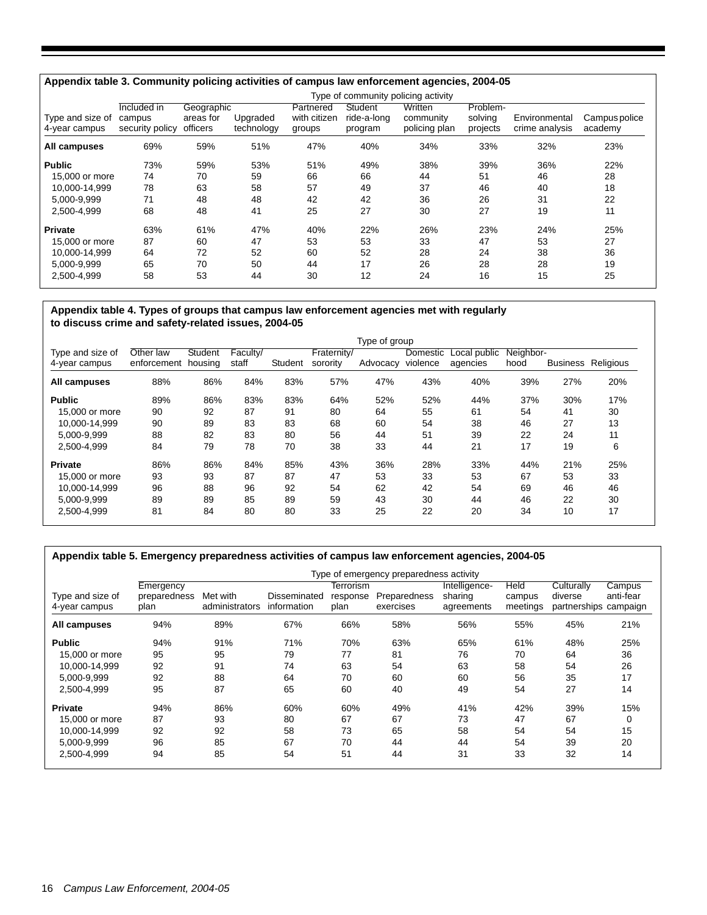|                                   |                                                       |                                     |                        |                                     |                                   | Type of community policing activity   |                                 |                                 |                          |
|-----------------------------------|-------------------------------------------------------|-------------------------------------|------------------------|-------------------------------------|-----------------------------------|---------------------------------------|---------------------------------|---------------------------------|--------------------------|
| Type and size of<br>4-year campus | Included $\overline{in}$<br>campus<br>security policy | Geographic<br>areas for<br>officers | Upgraded<br>technology | Partnered<br>with citizen<br>groups | Student<br>ride-a-long<br>program | Written<br>community<br>policing plan | Problem-<br>solving<br>projects | Environmental<br>crime analysis | Campus police<br>academy |
| All campuses                      | 69%                                                   | 59%                                 | 51%                    | 47%                                 | 40%                               | 34%                                   | 33%                             | 32%                             | 23%                      |
| <b>Public</b>                     | 73%                                                   | 59%                                 | 53%                    | 51%                                 | 49%                               | 38%                                   | 39%                             | 36%                             | 22%                      |
| 15,000 or more                    | 74                                                    | 70                                  | 59                     | 66                                  | 66                                | 44                                    | 51                              | 46                              | 28                       |
| 10.000-14.999                     | 78                                                    | 63                                  | 58                     | 57                                  | 49                                | 37                                    | 46                              | 40                              | 18                       |
| 5.000-9.999                       | 71                                                    | 48                                  | 48                     | 42                                  | 42                                | 36                                    | 26                              | 31                              | 22                       |
| 2.500-4.999                       | 68                                                    | 48                                  | 41                     | 25                                  | 27                                | 30                                    | 27                              | 19                              | 11                       |
| <b>Private</b>                    | 63%                                                   | 61%                                 | 47%                    | 40%                                 | 22%                               | 26%                                   | 23%                             | 24%                             | 25%                      |
| 15,000 or more                    | 87                                                    | 60                                  | 47                     | 53                                  | 53                                | 33                                    | 47                              | 53                              | 27                       |
| 10,000-14,999                     | 64                                                    | 72                                  | 52                     | 60                                  | 52                                | 28                                    | 24                              | 38                              | 36                       |
| 5,000-9,999                       | 65                                                    | 70                                  | 50                     | 44                                  | 17                                | 26                                    | 28                              | 28                              | 19                       |
| 2,500-4,999                       | 58                                                    | 53                                  | 44                     | 30                                  | 12                                | 24                                    | 16                              | 15                              | 25                       |

#### **Appendix table 4. Types of groups that campus law enforcement agencies met with regularly to discuss crime and safety-related issues, 2004-05**

|                  |             |         |          |         |             | Type of group |          |              |           |                 |           |
|------------------|-------------|---------|----------|---------|-------------|---------------|----------|--------------|-----------|-----------------|-----------|
| Type and size of | Other law   | Student | Faculty/ |         | Fraternity/ |               | Domestic | Local public | Neighbor- |                 |           |
| 4-year campus    | enforcement | housing | staff    | Student | sorority    | Advocacy      | violence | agencies     | hood      | <b>Business</b> | Religious |
| All campuses     | 88%         | 86%     | 84%      | 83%     | 57%         | 47%           | 43%      | 40%          | 39%       | 27%             | 20%       |
| <b>Public</b>    | 89%         | 86%     | 83%      | 83%     | 64%         | 52%           | 52%      | 44%          | 37%       | 30%             | 17%       |
| 15,000 or more   | 90          | 92      | 87       | 91      | 80          | 64            | 55       | 61           | 54        | 41              | 30        |
| 10.000-14.999    | 90          | 89      | 83       | 83      | 68          | 60            | 54       | 38           | 46        | 27              | 13        |
| 5.000-9.999      | 88          | 82      | 83       | 80      | 56          | 44            | 51       | 39           | 22        | 24              | 11        |
| 2.500-4.999      | 84          | 79      | 78       | 70      | 38          | 33            | 44       | 21           | 17        | 19              | 6         |
| <b>Private</b>   | 86%         | 86%     | 84%      | 85%     | 43%         | 36%           | 28%      | 33%          | 44%       | 21%             | 25%       |
| 15,000 or more   | 93          | 93      | 87       | 87      | 47          | 53            | 33       | 53           | 67        | 53              | 33        |
| 10.000-14.999    | 96          | 88      | 96       | 92      | 54          | 62            | 42       | 54           | 69        | 46              | 46        |
| 5.000-9.999      | 89          | 89      | 85       | 89      | 59          | 43            | 30       | 44           | 46        | 22              | 30        |
| 2,500-4,999      | 81          | 84      | 80       | 80      | 33          | 25            | 22       | 20           | 34        | 10              | 17        |

|                                   |                                   |                            |                             |                               | Type of emergency preparedness activity |                                        |                            |                                       |                                 |
|-----------------------------------|-----------------------------------|----------------------------|-----------------------------|-------------------------------|-----------------------------------------|----------------------------------------|----------------------------|---------------------------------------|---------------------------------|
| Type and size of<br>4-year campus | Emergency<br>preparedness<br>plan | Met with<br>administrators | Disseminated<br>information | Terrorism<br>response<br>plan | Preparedness<br>exercises               | Intelligence-<br>sharing<br>agreements | Held<br>campus<br>meetings | Culturally<br>diverse<br>partnerships | Campus<br>anti-fear<br>campaign |
| All campuses                      | 94%                               | 89%                        | 67%                         | 66%                           | 58%                                     | 56%                                    | 55%                        | 45%                                   | 21%                             |
| <b>Public</b>                     | 94%                               | 91%                        | 71%                         | 70%                           | 63%                                     | 65%                                    | 61%                        | 48%                                   | 25%                             |
| 15,000 or more                    | 95                                | 95                         | 79                          | 77                            | 81                                      | 76                                     | 70                         | 64                                    | 36                              |
| 10,000-14,999                     | 92                                | 91                         | 74                          | 63                            | 54                                      | 63                                     | 58                         | 54                                    | 26                              |
| 5,000-9,999                       | 92                                | 88                         | 64                          | 70                            | 60                                      | 60                                     | 56                         | 35                                    | 17                              |
| 2.500-4.999                       | 95                                | 87                         | 65                          | 60                            | 40                                      | 49                                     | 54                         | 27                                    | 14                              |
| <b>Private</b>                    | 94%                               | 86%                        | 60%                         | 60%                           | 49%                                     | 41%                                    | 42%                        | 39%                                   | 15%                             |
| 15,000 or more                    | 87                                | 93                         | 80                          | 67                            | 67                                      | 73                                     | 47                         | 67                                    | 0                               |
| 10,000-14,999                     | 92                                | 92                         | 58                          | 73                            | 65                                      | 58                                     | 54                         | 54                                    | 15                              |
| 5,000-9,999                       | 96                                | 85                         | 67                          | 70                            | 44                                      | 44                                     | 54                         | 39                                    | 20                              |
| 2,500-4,999                       | 94                                | 85                         | 54                          | 51                            | 44                                      | 31                                     | 33                         | 32                                    | 14                              |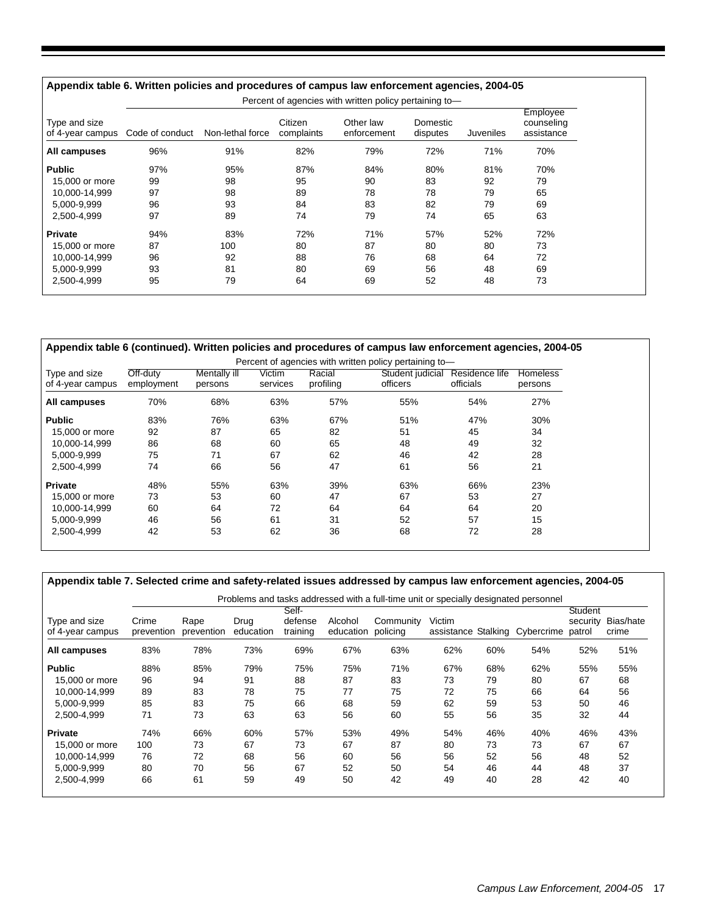| Type and size<br>of 4-year campus | Code of conduct | Non-lethal force | Citizen<br>complaints | Other law<br>enforcement | Domestic<br>disputes | Juveniles | Employee<br>counseling<br>assistance |
|-----------------------------------|-----------------|------------------|-----------------------|--------------------------|----------------------|-----------|--------------------------------------|
| All campuses                      | 96%             | 91%              | 82%                   | 79%                      | 72%                  | 71%       | 70%                                  |
| <b>Public</b>                     | 97%             | 95%              | 87%                   | 84%                      | 80%                  | 81%       | 70%                                  |
| 15,000 or more                    | 99              | 98               | 95                    | 90                       | 83                   | 92        | 79                                   |
| 10.000-14.999                     | 97              | 98               | 89                    | 78                       | 78                   | 79        | 65                                   |
| 5.000-9.999                       | 96              | 93               | 84                    | 83                       | 82                   | 79        | 69                                   |
| 2.500-4.999                       | 97              | 89               | 74                    | 79                       | 74                   | 65        | 63                                   |
| <b>Private</b>                    | 94%             | 83%              | 72%                   | 71%                      | 57%                  | 52%       | 72%                                  |
| 15,000 or more                    | 87              | 100              | 80                    | 87                       | 80                   | 80        | 73                                   |
| 10,000-14,999                     | 96              | 92               | 88                    | 76                       | 68                   | 64        | 72                                   |
| 5.000-9.999                       | 93              | 81               | 80                    | 69                       | 56                   | 48        | 69                                   |
| 2,500-4,999                       | 95              | 79               | 64                    | 69                       | 52                   | 48        | 73                                   |

| Appendix table 6 (continued). Written policies and procedures of campus law enforcement agencies, 2004-05 |                        |                         |                    |                     |                              |                             |                            |
|-----------------------------------------------------------------------------------------------------------|------------------------|-------------------------|--------------------|---------------------|------------------------------|-----------------------------|----------------------------|
| Percent of agencies with written policy pertaining to-                                                    |                        |                         |                    |                     |                              |                             |                            |
| Type and size<br>of 4-year campus                                                                         | Off-duty<br>employment | Mentally ill<br>persons | Victim<br>services | Racial<br>profiling | Student judicial<br>officers | Residence life<br>officials | <b>Homeless</b><br>persons |
| All campuses                                                                                              | 70%                    | 68%                     | 63%                | 57%                 | 55%                          | 54%                         | 27%                        |
| <b>Public</b>                                                                                             | 83%                    | 76%                     | 63%                | 67%                 | 51%                          | 47%                         | 30%                        |
| 15,000 or more                                                                                            | 92                     | 87                      | 65                 | 82                  | 51                           | 45                          | 34                         |
| 10.000-14.999                                                                                             | 86                     | 68                      | 60                 | 65                  | 48                           | 49                          | 32                         |
| 5.000-9.999                                                                                               | 75                     | 71                      | 67                 | 62                  | 46                           | 42                          | 28                         |
| 2.500-4.999                                                                                               | 74                     | 66                      | 56                 | 47                  | 61                           | 56                          | 21                         |
| <b>Private</b>                                                                                            | 48%                    | 55%                     | 63%                | 39%                 | 63%                          | 66%                         | 23%                        |
| 15,000 or more                                                                                            | 73                     | 53                      | 60                 | 47                  | 67                           | 53                          | 27                         |
| 10.000-14.999                                                                                             | 60                     | 64                      | 72                 | 64                  | 64                           | 64                          | 20                         |
| 5.000-9.999                                                                                               | 46                     | 56                      | 61                 | 31                  | 52                           | 57                          | 15                         |
| 2.500-4.999                                                                                               | 42                     | 53                      | 62                 | 36                  | 68                           | 72                          | 28                         |

| Appendix table 7. Selected crime and safety-related issues addressed by campus law enforcement agencies, 2004-05 |  |  |
|------------------------------------------------------------------------------------------------------------------|--|--|
|                                                                                                                  |  |  |
|                                                                                                                  |  |  |

|                                   |                     | Problems and tasks addressed with a full-time unit or specially designated personnel |                   |                              |                      |                       |                      |     |                     |                               |                    |  |
|-----------------------------------|---------------------|--------------------------------------------------------------------------------------|-------------------|------------------------------|----------------------|-----------------------|----------------------|-----|---------------------|-------------------------------|--------------------|--|
| Type and size<br>of 4-year campus | Crime<br>prevention | Rape<br>prevention                                                                   | Drug<br>education | Self-<br>defense<br>training | Alcohol<br>education | Community<br>policing | Victim<br>assistance |     | Stalking Cybercrime | Student<br>security<br>patrol | Bias/hate<br>crime |  |
| All campuses                      | 83%                 | 78%                                                                                  | 73%               | 69%                          | 67%                  | 63%                   | 62%                  | 60% | 54%                 | 52%                           | 51%                |  |
| <b>Public</b>                     | 88%                 | 85%                                                                                  | 79%               | 75%                          | 75%                  | 71%                   | 67%                  | 68% | 62%                 | 55%                           | 55%                |  |
| 15,000 or more                    | 96                  | 94                                                                                   | 91                | 88                           | 87                   | 83                    | 73                   | 79  | 80                  | 67                            | 68                 |  |
| 10.000-14.999                     | 89                  | 83                                                                                   | 78                | 75                           | 77                   | 75                    | 72                   | 75  | 66                  | 64                            | 56                 |  |
| 5.000-9.999                       | 85                  | 83                                                                                   | 75                | 66                           | 68                   | 59                    | 62                   | 59  | 53                  | 50                            | 46                 |  |
| 2.500-4.999                       | 71                  | 73                                                                                   | 63                | 63                           | 56                   | 60                    | 55                   | 56  | 35                  | 32                            | 44                 |  |
| <b>Private</b>                    | 74%                 | 66%                                                                                  | 60%               | 57%                          | 53%                  | 49%                   | 54%                  | 46% | 40%                 | 46%                           | 43%                |  |
| 15,000 or more                    | 100                 | 73                                                                                   | 67                | 73                           | 67                   | 87                    | 80                   | 73  | 73                  | 67                            | 67                 |  |
| 10,000-14,999                     | 76                  | 72                                                                                   | 68                | 56                           | 60                   | 56                    | 56                   | 52  | 56                  | 48                            | 52                 |  |
| 5,000-9,999                       | 80                  | 70                                                                                   | 56                | 67                           | 52                   | 50                    | 54                   | 46  | 44                  | 48                            | 37                 |  |
| 2.500-4.999                       | 66                  | 61                                                                                   | 59                | 49                           | 50                   | 42                    | 49                   | 40  | 28                  | 42                            | 40                 |  |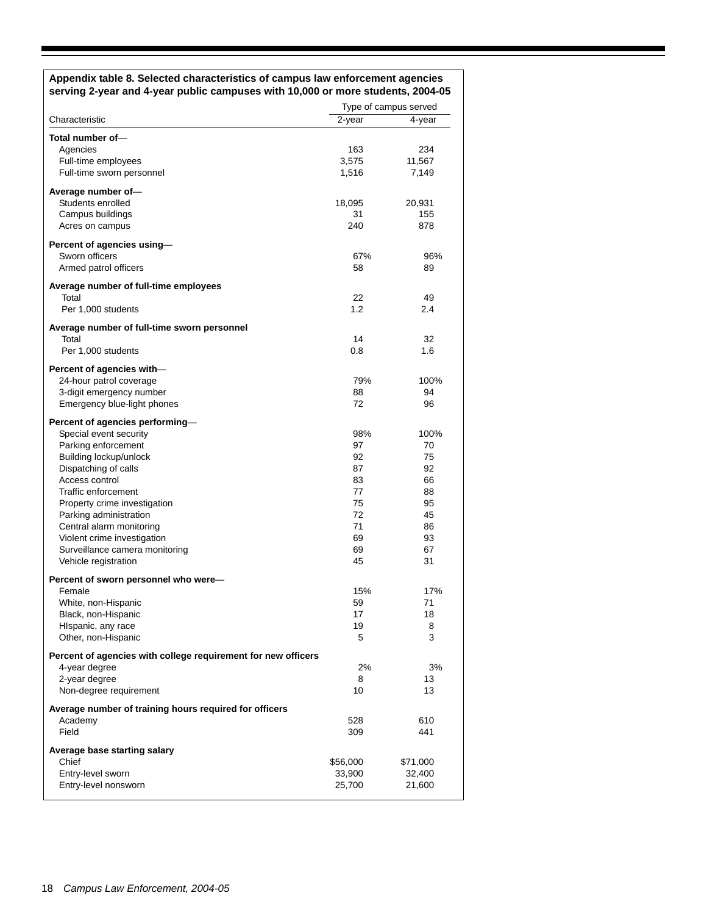#### **Appendix table 8. Selected characteristics of campus law enforcement agencies serving 2-year and 4-year public campuses with 10,000 or more students, 2004-05**

|                                                               | Type of campus served |          |  |
|---------------------------------------------------------------|-----------------------|----------|--|
| Characteristic                                                | $2$ -year             | 4-year   |  |
| Total number of-                                              |                       |          |  |
| Agencies                                                      | 163                   | 234      |  |
| Full-time employees                                           | 3,575                 | 11,567   |  |
| Full-time sworn personnel                                     | 1,516                 | 7,149    |  |
|                                                               |                       |          |  |
| Average number of-                                            |                       |          |  |
| Students enrolled                                             | 18,095                | 20,931   |  |
| Campus buildings                                              | 31                    | 155      |  |
| Acres on campus                                               | 240                   | 878      |  |
| Percent of agencies using-                                    |                       |          |  |
| Sworn officers                                                | 67%                   | 96%      |  |
| Armed patrol officers                                         | 58                    | 89       |  |
| Average number of full-time employees                         |                       |          |  |
| Total                                                         | 22                    | 49       |  |
| Per 1,000 students                                            | 1.2                   | 2.4      |  |
|                                                               |                       |          |  |
| Average number of full-time sworn personnel<br>Total          | 14                    | 32       |  |
| Per 1,000 students                                            | 0.8                   | 1.6      |  |
|                                                               |                       |          |  |
| Percent of agencies with-                                     |                       |          |  |
| 24-hour patrol coverage                                       | 79%                   | 100%     |  |
| 3-digit emergency number                                      | 88                    | 94       |  |
| Emergency blue-light phones                                   | 72                    | 96       |  |
| Percent of agencies performing-                               |                       |          |  |
| Special event security                                        | 98%                   | 100%     |  |
| Parking enforcement                                           | 97                    | 70       |  |
| Building lockup/unlock                                        | 92                    | 75       |  |
| Dispatching of calls                                          | 87                    | 92       |  |
| Access control                                                | 83                    | 66       |  |
| Traffic enforcement                                           | 77                    | 88       |  |
| Property crime investigation                                  | 75                    | 95       |  |
| Parking administration                                        | 72                    | 45       |  |
| Central alarm monitoring                                      | 71                    | 86       |  |
| Violent crime investigation                                   | 69                    | 93       |  |
| Surveillance camera monitoring                                | 69                    | 67       |  |
| Vehicle registration                                          | 45                    | 31       |  |
|                                                               |                       |          |  |
| Percent of sworn personnel who were-                          |                       |          |  |
| Female                                                        | 15%                   | 17%      |  |
| White, non-Hispanic                                           | 59                    | 71       |  |
| Black, non-Hispanic                                           | 17                    | 18       |  |
| HIspanic, any race                                            | 19                    | 8        |  |
| Other, non-Hispanic                                           | 5                     | 3        |  |
| Percent of agencies with college requirement for new officers |                       |          |  |
| 4-year degree                                                 | 2%                    | 3%       |  |
| 2-year degree                                                 | 8                     | 13       |  |
| Non-degree requirement                                        | 10                    | 13       |  |
| Average number of training hours required for officers        |                       |          |  |
| Academy                                                       | 528                   | 610      |  |
| Field                                                         | 309                   | 441      |  |
|                                                               |                       |          |  |
| Average base starting salary<br>Chief                         | \$56,000              | \$71,000 |  |
| Entry-level sworn                                             | 33,900                | 32,400   |  |
| Entry-level nonsworn                                          | 25,700                |          |  |
|                                                               |                       | 21,600   |  |